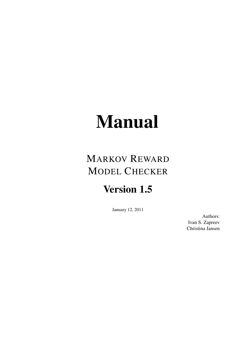# Manual

## MARKOV REWARD MODEL CHECKER

## Version 1.5

January 12, 2011

Authors: Ivan S. Zapreev Christina Jansen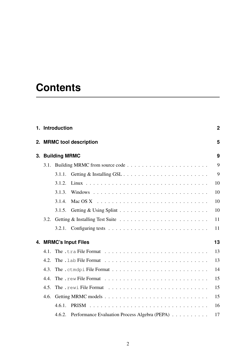## **Contents**

|    |      | 1. Introduction                                                                           | $\overline{2}$ |  |  |  |  |  |  |  |  |  |
|----|------|-------------------------------------------------------------------------------------------|----------------|--|--|--|--|--|--|--|--|--|
|    |      | 2. MRMC tool description                                                                  |                |  |  |  |  |  |  |  |  |  |
| 3. |      | <b>Building MRMC</b>                                                                      | 9              |  |  |  |  |  |  |  |  |  |
|    |      |                                                                                           | 9              |  |  |  |  |  |  |  |  |  |
|    |      | 3.1.1.                                                                                    | 9              |  |  |  |  |  |  |  |  |  |
|    |      | 3.1.2.                                                                                    | 10             |  |  |  |  |  |  |  |  |  |
|    |      | 3.1.3.                                                                                    | 10             |  |  |  |  |  |  |  |  |  |
|    |      | 3.1.4.                                                                                    | 10             |  |  |  |  |  |  |  |  |  |
|    |      | 3.1.5.                                                                                    | 10             |  |  |  |  |  |  |  |  |  |
|    | 3.2. |                                                                                           | 11             |  |  |  |  |  |  |  |  |  |
|    |      | 3.2.1. Configuring tests $\ldots \ldots \ldots \ldots \ldots \ldots \ldots \ldots \ldots$ | 11             |  |  |  |  |  |  |  |  |  |
|    |      | 4. MRMC's Input Files                                                                     | 13             |  |  |  |  |  |  |  |  |  |
|    | 4.1. |                                                                                           | 13             |  |  |  |  |  |  |  |  |  |
|    | 4.2. |                                                                                           | 13             |  |  |  |  |  |  |  |  |  |
|    | 4.3. |                                                                                           | 14             |  |  |  |  |  |  |  |  |  |
|    | 4.4. |                                                                                           | 15             |  |  |  |  |  |  |  |  |  |
|    | 4.5. |                                                                                           | 15             |  |  |  |  |  |  |  |  |  |
|    | 4.6. |                                                                                           | 15             |  |  |  |  |  |  |  |  |  |
|    |      | 4.6.1.                                                                                    | 16             |  |  |  |  |  |  |  |  |  |
|    |      | Performance Evaluation Process Algebra (PEPA)<br>4.6.2.                                   | 17             |  |  |  |  |  |  |  |  |  |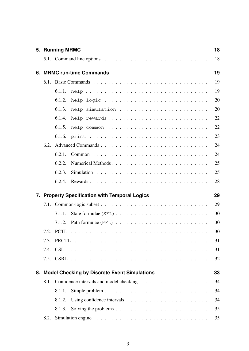|    |      | 5. Running MRMC                                                                                   | 18 |
|----|------|---------------------------------------------------------------------------------------------------|----|
|    |      | 5.1. Command line options $\ldots \ldots \ldots \ldots \ldots \ldots \ldots \ldots \ldots \ldots$ | 18 |
| 6. |      | <b>MRMC run-time Commands</b>                                                                     | 19 |
|    |      |                                                                                                   | 19 |
|    |      | 6.1.1.                                                                                            | 19 |
|    |      | 6.1.2.<br>help logic                                                                              | 20 |
|    |      | help simulation<br>6.1.3.                                                                         | 20 |
|    |      | 6.1.4.<br>help rewards                                                                            | 22 |
|    |      | 6.1.5.<br>help common                                                                             | 22 |
|    |      | 6.1.6.                                                                                            | 23 |
|    | 6.2. |                                                                                                   | 24 |
|    |      | 6.2.1.                                                                                            | 24 |
|    |      | 6.2.2.                                                                                            | 25 |
|    |      | 6.2.3.                                                                                            | 25 |
|    |      | 6.2.4.<br>Rewards                                                                                 | 28 |
| 7. |      | <b>Property Specification with Temporal Logics</b>                                                | 29 |
|    |      |                                                                                                   | 29 |
|    |      | 7.1.1.                                                                                            | 30 |
|    |      | 7.1.2.                                                                                            | 30 |
|    |      |                                                                                                   | 30 |
|    |      |                                                                                                   | 31 |
|    |      |                                                                                                   | 31 |
|    |      |                                                                                                   | 32 |
| 8. |      | <b>Model Checking by Discrete Event Simulations</b>                                               | 33 |
|    | 8.1. |                                                                                                   | 34 |
|    |      | 8.1.1.                                                                                            | 34 |
|    |      | 8.1.2.<br>Using confidence intervals $\dots \dots \dots \dots \dots \dots \dots \dots$            | 34 |
|    |      | 8.1.3.<br>Solving the problems $\ldots \ldots \ldots \ldots \ldots \ldots \ldots \ldots$          | 35 |
|    | 8.2. |                                                                                                   | 35 |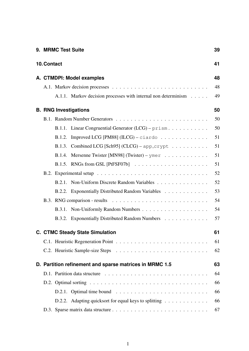|                                 | 9. MRMC Test Suite |                                                                                      | 39 |  |  |  |  |  |  |  |
|---------------------------------|--------------------|--------------------------------------------------------------------------------------|----|--|--|--|--|--|--|--|
| 10. Contact                     |                    |                                                                                      | 41 |  |  |  |  |  |  |  |
| 48<br>A. CTMDPI: Model examples |                    |                                                                                      |    |  |  |  |  |  |  |  |
|                                 |                    |                                                                                      |    |  |  |  |  |  |  |  |
|                                 |                    | A.1.1. Markov decision processes with internal non determinism                       | 49 |  |  |  |  |  |  |  |
|                                 |                    | <b>B. RNG Investigations</b>                                                         | 50 |  |  |  |  |  |  |  |
|                                 |                    |                                                                                      | 50 |  |  |  |  |  |  |  |
|                                 |                    | B.1.1. Linear Congruential Generator $(LCG)$ – prism                                 | 50 |  |  |  |  |  |  |  |
|                                 | B.1.2.             | Improved LCG [PM88] $(ILCG)$ – ciardo                                                | 51 |  |  |  |  |  |  |  |
|                                 |                    | B.1.3. Combined LCG [Sch95] $(CLCG)$ - app_crypt $\ldots \ldots \ldots$              | 51 |  |  |  |  |  |  |  |
|                                 |                    | B.1.4. Mersenne Twister [MN98] (Twister) – ymer                                      | 51 |  |  |  |  |  |  |  |
|                                 |                    |                                                                                      | 51 |  |  |  |  |  |  |  |
|                                 |                    |                                                                                      | 52 |  |  |  |  |  |  |  |
|                                 |                    | B.2.1. Non-Uniform Discrete Random Variables                                         | 52 |  |  |  |  |  |  |  |
|                                 |                    | B.2.2. Exponentially Distributed Random Variables                                    | 53 |  |  |  |  |  |  |  |
|                                 |                    |                                                                                      | 54 |  |  |  |  |  |  |  |
|                                 |                    |                                                                                      | 54 |  |  |  |  |  |  |  |
|                                 |                    | B.3.2. Exponentially Distributed Random Numbers                                      | 57 |  |  |  |  |  |  |  |
|                                 |                    | <b>C. CTMC Steady State Simulation</b>                                               | 61 |  |  |  |  |  |  |  |
|                                 |                    |                                                                                      | 61 |  |  |  |  |  |  |  |
|                                 |                    |                                                                                      | 62 |  |  |  |  |  |  |  |
|                                 |                    | D. Partition refinement and sparse matrices in MRMC 1.5                              | 63 |  |  |  |  |  |  |  |
|                                 |                    |                                                                                      | 64 |  |  |  |  |  |  |  |
|                                 |                    |                                                                                      | 66 |  |  |  |  |  |  |  |
|                                 |                    | D.2.1. Optimal time bound $\ldots \ldots \ldots \ldots \ldots \ldots \ldots \ldots$  | 66 |  |  |  |  |  |  |  |
|                                 |                    | D.2.2. Adapting quicks ort for equal keys to splitting $\ldots \ldots \ldots \ldots$ | 66 |  |  |  |  |  |  |  |
|                                 |                    |                                                                                      | 67 |  |  |  |  |  |  |  |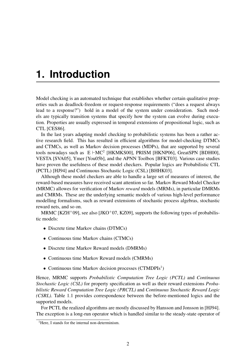## <span id="page-4-0"></span>**1. Introduction**

Model checking is an automated technique that establishes whether certain qualitative properties such as deadlock-freedom or request-response requirements ("does a request always lead to a response?") hold in a model of the system under consideration. Such models are typically transition systems that specify how the system can evolve during execution. Properties are usually expressed in temporal extensions of propositional logic, such as CTL [\[CES86\]](#page-45-0).

In the last years adapting model checking to probabilistic systems has been a rather active research field. This has resulted in efficient algorithms for model-checking DTMCs and CTMCs, as well as Markov decision processes (MDPs), that are supported by several tools nowadays such as  $E + MC^2$  [\[HKMKS00\]](#page-46-0), PRISM [\[HKNP06\]](#page-46-1), GreatSPN [\[BDH00\]](#page-44-0), VESTA [\[SVA05\]](#page-48-4), Ymer [\[You05b\]](#page-49-0), and the APNN Toolbox [\[BFKT03\]](#page-44-1). Various case studies have proven the usefulness of these model checkers. Popular logics are Probabilistic CTL (PCTL) [\[HJ94\]](#page-46-2) and Continuous Stochastic Logic (CSL) [\[BHHK03\]](#page-45-1).

Although these model checkers are able to handle a large set of measures of interest, the reward-based measures have received scant attention so far. Markov Reward Model Checker (MRMC) allowes for verification of Markov *reward* models (MRMs), in particular DMRMs and CMRMs. These are the underlying semantic models of various high-level performance modelling formalisms, such as reward extensions of stochastic process algebras, stochastic reward nets, and so on.

MRMC [\[KZH](#page-47-0)<sup>+</sup>09], see also [\[JKO](#page-46-3)<sup>+</sup>07, [KZ09\]](#page-47-1), supports the following types of probabilistic models:

- Discrete time Markov chains (DTMCs)
- Continuous time Markov chains (CTMCs)
- Discrete time Markov Reward models (DMRMs)
- Continuous time Markov Reward models (CMRMs)
- Continuous time Markov decision processes (CTMDPIs<sup>[1](#page-4-1)</sup>)

Hence, MRMC supports *Probabilistic Computation Tree Logic (PCTL)* and *Continuous Stochastic Logic (CSL)* for property specification as well as their reward extensions *Probabilistic Reward Computation Tree Logic (PRCTL)* and *Continuous Stochastic Reward Logic (CSRL)*. Table [1.1](#page-5-0) provides correspondence between the before-mentioned logics and the supported models.

For PCTL the realized algorithms are mostly discussed by Hansson and Jonsson in [\[HJ94\]](#page-46-2). The exception is a long-run operator which is handled similar to the steady-state operator of

<span id="page-4-1"></span><sup>&</sup>lt;sup>1</sup>Here, I stands for the internal non-determinism.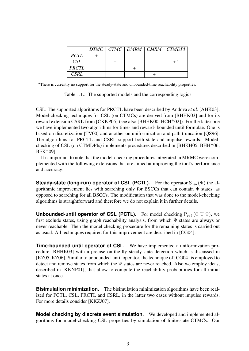|              |  |  | $DTMC$   $CTMC$   $DMRM$   $CMRM$   $CTMDPI$ |
|--------------|--|--|----------------------------------------------|
| <i>PCTL</i>  |  |  |                                              |
| CSL          |  |  | ⊥ a                                          |
| <b>PRCTL</b> |  |  |                                              |
| CSRL         |  |  |                                              |

*<sup>a</sup>*There is currently no support for the steady-state and unbounded-time reachability properties.

<span id="page-5-0"></span>Table 1.1.: The supported models and the corresponding logics

CSL. The supported algorithms for PRCTL have been described by Andova *et al.* [\[AHK03\]](#page-44-2). Model-checking techniques for CSL (on CTMCs) are derived from [\[BHHK03\]](#page-45-1) and for its reward extension CSRL from [\[CKKP05\]](#page-45-2) (see also [\[BHHK00,](#page-44-3) [HCH](#page-46-4)<sup>+</sup>02]). For the latter one we have implemented two algorithms for time- and reward- bounded until formulae. One is based on discretization [\[TV00\]](#page-49-1) and another on uniformization and path truncation [\[QS96\]](#page-48-5). The algorithms for PRCTL and CSRL support both state and impulse rewards. Modelchecking of CSL (on CTMDPIs) implements procedures described in  $[BHKH05, BHH<sup>+</sup>06,$  $[BHKH05, BHH<sup>+</sup>06,$  $[BHKH05, BHH<sup>+</sup>06,$ [BFK](#page-44-5)<sup>+</sup>09].

It is important to note that the model-checking procedures integrated in MRMC were complemented with the following extensions that are aimed at improving the tool's performance and accuracy:

**Steady-state (long-run) operator of CSL (PCTL).** For the operator  $S_{\bowtie b}(\Psi)$  the algorithmic improvement lies with searching only for BSCCs that can contain  $\Psi$  states, as opposed to searching for all BSCCs. The modification that was done to the model-checking algorithms is straightforward and therefore we do not explain it in further details.

**Unbounded-until operator of CSL (PCTL).** For model checking  $P_{\bowtie b}$  ( $\Phi \cup \Psi$ ), we first exclude states, using graph reachability analysis, from which Ψ states are always or never reachable. Then the model checking procedure for the remaining states is carried out as usual. All techniques required for this improvement are described in [\[CG04\]](#page-45-4).

**Time-bounded until operator of CSL.** We have implemented a uniformization procedure [\[BHHK03\]](#page-45-1) with a precise on-the-fly steady-state detection which is discussed in [\[KZ05,](#page-47-2) [KZ06\]](#page-47-3). Similar to unbounded-until operator, the technique of [\[CG04\]](#page-45-4) is employed to detect and remove states from which the Ψ states are never reached. Also we employ ideas, described in [\[KKNP01\]](#page-46-5), that allow to compute the reachability probabilities for all initial states at once.

**Bisimulation minimization.** The bisimulation minimization algorithms have been realized for PCTL, CSL, PRCTL and CSRL, in the latter two cases without impulse rewards. For more details consider [\[KKZJ07\]](#page-47-4).

**Model checking by discrete event simulation.** We developed and implemented algorithms for model-checking CSL properties by simulation of finite-state CTMCs. Our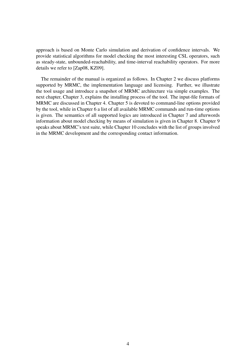approach is based on Monte Carlo simulation and derivation of confidence intervals. We provide statistical algorithms for model checking the most interesting CSL operators, such as steady-state, unbounded-reachability, and time-interval reachability operators. For more details we refer to [\[Zap08,](#page-49-2) [KZ09\]](#page-47-1).

The remainder of the manual is organized as follows. In Chapter [2](#page-7-0) we discuss platforms supported by MRMC, the implementation language and licensing. Further, we illustrate the tool usage and introduce a snapshot of MRMC architecture via simple examples. The next chapter, Chapter [3,](#page-11-0) explains the installing process of the tool. The input-file formats of MRMC are discussed in Chapter [4.](#page-15-0) Chapter [5](#page-20-0) is devoted to command-line options provided by the tool, while in Chapter [6](#page-21-0) a list of all available MRMC commands and run-time options is given. The semantics of all supported logics are introduced in Chapter [7](#page-31-0) and afterwords information about model checking by means of simulation is given in Chapter [8.](#page-35-0) Chapter [9](#page-41-0) speaks about MRMC's test suite, while Chapter [10](#page-43-0) concludes with the list of groups involved in the MRMC development and the corresponding contact information.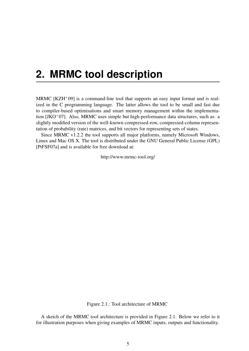## <span id="page-7-0"></span>**2. MRMC tool description**

MRMC  $[KZH^+09]$  $[KZH^+09]$  is a command-line tool that supports an easy input format and is realized in the C programming language. The latter allows the tool to be small and fast due to compiler-based optimisations and smart memory management within the implementation [\[JKO](#page-46-3)<sup>+</sup>07]. Also, MRMC uses simple but high-performance data structures, such as: a slightly modified version of the well-known compressed-row, compressed-column representation of probability (rate) matrices, and bit vectors for representing sets of states.

Since MRMC v1.2.2 the tool supports all major platforms, namely Microsoft Windows, Linux and Mac OS X. The tool is distributed under the GNU General Public License (GPL) [\[PtFSF07a\]](#page-48-6) and is available for free download at:

<http://www.mrmc-tool.org/>

<span id="page-7-1"></span>Figure 2.1.: Tool architecture of MRMC

<span id="page-7-2"></span>A sketch of the MRMC tool architecture is provided in Figure [2.1.](#page-7-1) Below we refer to it for illustration purposes when giving examples of MRMC inputs, outputs and functionality.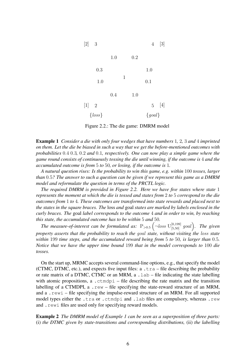

<span id="page-8-0"></span>Figure 2.2.: The die game: DMRM model

Example 1 *Consider a die with only four wedges that have numbers* 1*,* 2*,* 3 *and* 4 *imprinted on them. Let the die be biased in such a way that we get the before-mentioned outcomes with probabilities* 0.4 0.3*,* 0.2 *and* 0.1*, respectively. One can now play a simple game where the game round consists of continuously tossing the die until winning, if the outcome is* 4 *and the accumulated outcome is from* 5 *to* 50*, or losing, if the outcome is* 1*.*

*A natural question rises: Is the probability to win this game, e.g. within* 100 *tosses, larger than* 0.5*? The answer to such a question can be given if we represent this game as a DMRM model and reformulate the question in terms of the PRCTL logic.*

*The required DMRM is provided in Figure [2.2.](#page-8-0) Here we have five states where state* 1 *represents the moment at which the die is tossed and states from* 2 *to* 5 *correspond to the die outcomes from* 1 *to* 4*. These outcomes are transformed into state rewards and placed next to the states in the square braces. The* loss *and* goal *states are marked by labels enclosed in the curly braces. The* goal *label corresponds to the outcome* 4 *and in order to win, by reaching this state, the accumulated outcome has to be within* 5 *and* 50*.*

The measure-of-interest can be formulated as:  $P_{>0.5}$   $\left(\neg loss \cup_{[5,50]}^{[0,199]}$  goal). The given *property asserts that the probability to reach the* goal *state, without visiting the* loss *state within* 199 *time steps, and the accumulated reward being from* 5 *to* 50*, is larger than* 0.5*. Notice that we have the upper time bound* 199 *that in the model corresponds to* 100 *die tosses.*

On the start up, MRMC accepts several command-line options, e.g., that specify the model (CTMC, DTMC, etc.), and expects five input files:  $a \cdot \text{tra} - \text{file describing the probability}$ or rate matrix of a DTMC, CTMC or an MRM, a . lab – file indicating the state labelling with atomic propositions, a .  $ctm$ dpi – file describing the rate matrix and the transition labelling of a CTMDPI, a  $_{\text{re}}$   $_{\text{me}}$  – file specifying the state-reward structure of an MRM, and a .rewi – file specifying the impulse-reward structure of an MRM. For all supported model types either the .tra or .ctmdpi and .lab files are compulsory, whereas .rew and . rewi files are used only for specifying reward models.

<span id="page-8-1"></span>Example 2 *The DMRM model of Example [1](#page-7-2) can be seen as a superposition of three parts:* (i) *the DTMC given by state-transitions and corresponding distributions,* (ii) *the labelling*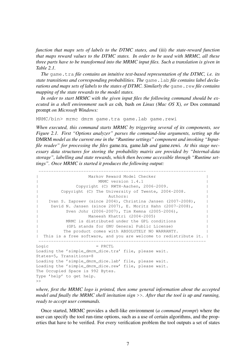*function that maps sets of labels to the DTMC states, and* (iii) *the state-reward function that maps reward values to the DTMC states. In order to be used with MRMC, all these three parts have to be transformed into the MRMC input files. Such a translation is given in Table [2.1.](#page-10-0)*

*The* game.tra *file contains an intuitive text-based representation of the DTMC, i.e. its state transitions and corresponding probabilities. The* game.lab *file contains label declarations and maps sets of labels to the states of DTMC. Similarly the* game.rew *file contains mapping of the state rewards to the model states.*

*In order to start MRMC with the given input files the following command should be executed in a shell environment such as* csh*,* bash *on Linux (Mac OS X), or* Dos command prompt *on Microsoft Windows:*

MRMC/bin> mrmc dmrm game.tra game.lab game.rewi

*When executed, this command starts MRMC by triggering several of its components, see Figure [2.1.](#page-7-1) First "Options analyzer" parses the command-line arguments, setting up the* DMRM *model as the current one in the "Runtime settings" component and invoking "Inputfile reader" for processing the files* game.tra*,* game.lab *and* game.rewi*. At this stage necessary data structures for storing the probability matrix are provided by "Internal-data storage", labelling and state rewards, which then become accessible through "Runtime settings". Once MRMC is started it produces the following output:*

```
-------------------------------------------------------------------
                    | Markov Reward Model Checker |
                     MRMC version 1.4.1
               Copyright (C) RWTH-Aachen, 2006-2009.
          Copyright (C) The University of Twente, 2004-2008.
                             Authors:
| Ivan S. Zapreev (since 2004), Christina Jansen (2007-2008), |
| David N. Jansen (since 2007), E. Moritz Hahn (2007-2008), |
           Sven Johr (2006-2007), Tim Kemna (2005-2006),
                    Maneesh Khattri (2004-2005)
           MRMC is distributed under the GPL conditions
            | (GPL stands for GNU General Public License) |
           The product comes with ABSOLUTELY NO WARRANTY.
| This is a free software, and you are welcome to redistribute it. |
                                   -------------------------------------------------------------------
\text{Logic} = PRCTL
Loading the 'simple_dmrm_dice.tra' file, please wait.
States=5, Transitions=8
Loading the 'simple dmrm dice.lab' file, please wait.
```

```
Loading the 'simple_dmrm_dice.rew' file, please wait.
The Occupied Space is 992 Bytes.
Type 'help' to get help.
\gt
```
*where, first the MRMC logo is printed, then some general information about the accepted model and finally the MRMC shell invitation sign* >>*. After that the tool is up and running, ready to accept user commands.*

Once started, MRMC provides a shell-like environment (*a command prompt*) where the user can specify the tool run-time options, such as a use of certain algorithms, and the properties that have to be verified. For every verification problem the tool outputs a set of states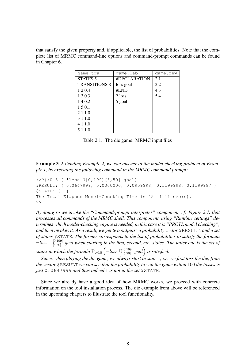that satisfy the given property and, if applicable, the list of probabilities. Note that the complete list of MRMC command-line options and command-prompt commands can be found in Chapter [6.](#page-21-0)

| qame.tra             | game.lab     | qame.rew |
|----------------------|--------------|----------|
| <b>STATES 5</b>      | #DECLARATION | 21       |
| <b>TRANSITIONS 8</b> | loss goal    | 32       |
| 120.4                | #END         | 43       |
| 1 3 0 3              | 2 loss       | 54       |
| 140.2                | 5 goal       |          |
| 150.1                |              |          |
| 2 1 1 0              |              |          |
| 3 1 1 0              |              |          |
| 4 1 1 0              |              |          |
| 5 1 1.0              |              |          |

<span id="page-10-0"></span>Table 2.1.: The die game: MRMC input files

<span id="page-10-1"></span>Example 3 *Extending Example [2,](#page-8-1) we can answer to the model checking problem of Example [1,](#page-7-2) by executing the following command in the MRMC command prompt:*

```
>>P{>0.5}[ !loss U[0,199][5,50] goal]
$RESULT: ( 0.0647999, 0.0000000, 0.0959998, 0.1199998, 0.1199997 )
$STATE: { }
The Total Elapsed Model-Checking Time is 45 milli sec(s).
\rightarrow
```
*By doing so we invoke the "Command-prompt interpreter" component, cf. Figure [2.1,](#page-7-1) that processes all commands of the MRMC shell. This component, using "Runtime settings" determines which model-checking engine is needed, in this case it is "PRCTL model checking", and then invokes it. As a result, we get two outputs: a probability vector* \$RESULT*, and a set of states* \$STATE*. The former corresponds to the list of probabilities to satisfy the formula*  $\neg loss$   $U^{[0,199]}_{[5,50]}$  goal when starting in the first, second, etc. states. The latter one is the set of states in which the formula  $\mathrm{P_{>0.5}}\left( \neg \textit{loss } \mathrm{U}_{[5,50]}^{[0,199]} \textit{ goal} \right)$  is satisfied.

*Since, when playing the die game, we always start in state* 1*, i.e. we first toss the die, from the vector* \$RESULT *we can see that the probability to win the game within* 100 *die tosses is just* 0.0647999 *and thus indeed* 1 *is not in the set* \$STATE*.*

Since we already have a good idea of how MRMC works, we proceed with concrete information on the tool installation process. The die example from above will be referenced in the upcoming chapters to illustrate the tool functionality.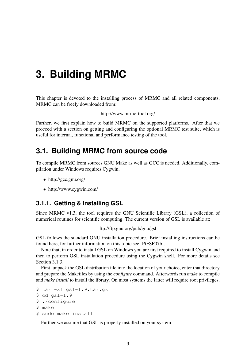## <span id="page-11-0"></span>**3. Building MRMC**

This chapter is devoted to the installing process of MRMC and all related components. MRMC can be freely downloaded from:

<http://www.mrmc-tool.org/>

Further, we first explain how to build MRMC on the supported platforms. After that we proceed with a section on getting and configuring the optional MRMC test suite, which is useful for internal, functional and performance testing of the tool.

## <span id="page-11-1"></span>**3.1. Building MRMC from source code**

To compile MRMC from sources GNU Make as well as GCC is needed. Additionally, compilation under Windows requires Cygwin.

- <http://gcc.gnu.org/>
- <http://www.cygwin.com/>

#### <span id="page-11-2"></span>**3.1.1. Getting & Installing GSL**

Since MRMC v1.3, the tool requires the GNU Scientific Library (GSL), a collection of numerical routines for scientific computing. The current version of GSL is available at:

#### <ftp://ftp.gnu.org/pub/gnu/gsl>

GSL follows the standard GNU installation procedure. Brief installing instructions can be found here, for further information on this topic see [\[PtFSF07b\]](#page-48-3).

Note that, in order to install GSL on Windows you are first required to install Cygwin and then to perform GSL installation procedure using the Cygwin shell. For more details see Section [3.1.3.](#page-12-1)

First, unpack the GSL distribution file into the location of your choice, enter that directory and prepare the Makefiles by using the *configure* command. Afterwords run *make* to compile and *make install* to install the library. On most systems the latter will require root privileges.

```
$ tar -xf gsl-1.9.tar.gz
$ cd gsl-1.9
$ ./configure
$ make
$ sudo make install
```
Further we assume that GSL is properly installed on your system.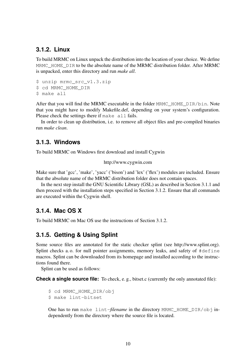#### <span id="page-12-0"></span>**3.1.2. Linux**

To build MRMC on Linux unpack the distribution into the location of your choice. We define MRMC  $HOME$   $DIR$  to be the absolute name of the MRMC distribution folder. After MRMC is unpacked, enter this directory and run *make all*.

```
$ unzip mrmc_src_v1.3.zip
```

```
$ cd MRMC HOME DIR
```

```
$ make all
```
After that you will find the MRMC executable in the folder MRMC HOME DIR/bin. Note that you might have to modify Makefile.def, depending on your system's configuration. Please check the settings there if make all fails.

In order to clean up distribution, i.e. to remove all object files and pre-compiled binaries run *make clean*.

### <span id="page-12-1"></span>**3.1.3. Windows**

To build MRMC on Windows first download and install Cygwin

```
http://www.cygwin.com
```
Make sure that 'gcc', 'make', 'yacc' ('bison') and 'lex' ('flex') modules are included. Ensure that the absolute name of the MRMC distribution folder does not contain spaces.

In the next step install the GNU Scientific Library (GSL) as described in Section [3.1.1](#page-11-2) and then proceed with the installation steps specified in Section [3.1.2.](#page-12-0) Ensure that all commands are executed within the Cygwin shell.

### <span id="page-12-2"></span>**3.1.4. Mac OS X**

To build MRMC on Mac OS use the instructions of Section [3.1.2.](#page-12-0)

### <span id="page-12-3"></span>**3.1.5. Getting & Using Splint**

Some source files are annotated for the static checker splint (see [http://www.splint.org\)](http://www.splint.org). Splint checks a. o. for null pointer assignments, memory leaks, and safety of #define macros. Splint can be downloaded from its homepage and installed according to the instructions found there.

Splint can be used as follows:

**Check a single source file:** To check, e.g., bitset.c (currently the only annotated file):

```
$ cd MRMC_HOME_DIR/obj
$ make lint-bitset
```
One has to run make lint-*filename* in the directory MRMC\_HOME\_DIR/obj independently from the directory where the source file is located.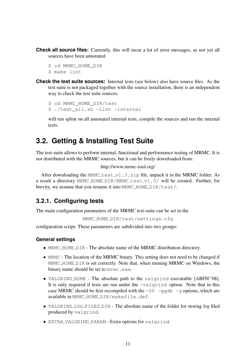**Check all source files:** Currently, this will incur a lot of error messages, as not yet all sources have been annotated.

```
$ cd MRMC HOME DIR
```
- \$ make lint
- **Check the test suite sources:** Internal tests (see below) also have source files. As the test suite is not packaged together with the source installation, there is an independent way to check the test suite sources:

```
$ cd MRMC HOME DIR/test
$ ./test_all.sh -lint -internal
```
will run splint on all annotated internal tests, compile the sources and run the internal tests.

## <span id="page-13-0"></span>**3.2. Getting & Installing Test Suite**

The test-suite allows to perform internal, functional and performance testing of MRMC. It is not distributed with the MRMC sources, but it can be freely downloaded from:

```
http://www.mrmc-tool.org/
```
After downloading the MRMC test  $_v1$ . 3. zip file, unpack it in the MRMC folder. As a result a directory MRMC\_HOME\_DIR/MRMC\_test\_v1.3/ will be created. Further, for brevity, we assume that you rename it into MRMC\_HOME\_DIR/test/.

### <span id="page-13-1"></span>**3.2.1. Configuring tests**

The main configuration parameters of the MRMC test-suite can be set in the

```
MRMC HOME DIR/test/settings.cfg
```
configuration script. These parameters are subdivided into two groups:

#### **General settings**

- MRMC\_HOME\_DIR The absolute name of the MRMC distribution directory.
- MRMC The location of the MRMC binary. This setting does not need to be changed if MRMC HOME DIR is set correctly. Note that, when running MRMC on Windows, the binary name should be set to mrmc.exe.
- VALGRING\_HOME The absolute path to the valgrind executable [\[ABFH](#page-44-6)+08]. It is only required if tests are run under the  $-\nu$ algrind option. Note that in this case MRMC should be first recompiled with the  $-00$  -ggdb  $-$ g options, which are available in MRMC HOME DIR/makefile.def.
- VALGRIND\_LOG\_FILES\_DIR The absolute name of the folder for storing *log* filed produced by valgrind.
- EXTRA VALGRIND PARAM Extra options for valgrind.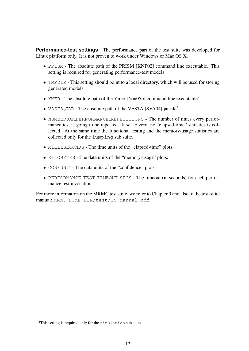**Performance-test settings** The performance part of the test suite was developed for Linux platform only. It is not proven to work under Windows or Mac OS X.

- PRISM The absolute path of the PRISM [\[KNP02\]](#page-47-5) command line executable. This setting is required for generating performance-test models.
- TMPDIR This setting should point to a local directory, which will be used for storing generated models.
- YMER The absolute path of the Ymer [\[You05b\]](#page-49-0) command line executable<sup>2</sup>.
- VASTA\_JAR The absolute path of the VESTA [\[SVA04\]](#page-48-7) jar file<sup>2</sup>.
- NUMBER OF PERFORMANCE REPETITIONS The number of times every performance test is going to be repeated. If set to zero, no "elapsed-time" statistics is collected. At the same time the functional testing and the memory-usage statistics are collected only for the lumping sub suite.
- MILLISECONDS The time units of the "elapsed-time" plots.
- KILOBYTES The data units of the "memory-usage" plots.
- CONFUNIT- The data units of the "confidence" plots<sup>2</sup>.
- PERFORMANCE TEST TIMEOUT SECS The timeout (in seconds) for each performance test invocation.

For more information on the MRMC test suite, we refer to Chapter [9](#page-41-0) and also to the test-suite manual: MRMC\_HOME\_DIR/test/TS\_Manual.pdf.

<sup>&</sup>lt;sup>2</sup>This setting is required only for the simulation sub suite.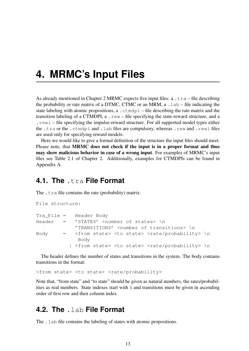## <span id="page-15-0"></span>**4. MRMC's Input Files**

As already mentioned in Chapter [2](#page-7-0) MRMC expects five input files:  $a \cdot \text{tra} - \text{file}$  describing the probability or rate matrix of a DTMC, CTMC or an MRM, a  $l$  and  $l$ -file indicating the state labeling with atomic propositions, a . ctmdpi – file describing the rate matrix and the transition labeling of a CTMDPI,  $a \cdot r \in W - f$  file specifying the state-reward structure, and a .rewi – file specifying the impulse-reward structure. For all supported model types either the .tra or the .ctmdpi and .lab files are compulsory, whereas .rew and .rewi files are used only for specifying reward models.

Here we would like to give a formal definition of the structure the input files should meet. Please note, that MRMC does not check if the input is in a proper format and thus may show malicious behavior in case of a wrong input. For examples of MRMC's input files see Table [2.1](#page-10-0) of Chapter [2.](#page-7-0) Additionally, examples for CTMDPIs can be found in Appendix [A.](#page-50-0)

## <span id="page-15-1"></span>**4.1. The** .tra **File Format**

The  $cdot$  tra file contains the rate (probability) matrix:

```
File structure:
Tra_File = Header Body
Header = 'STATES' <number of states> \n
             'TRANSITIONS' <number of transitions> \n
Body = \langle from state> \langle state> \langle rate/probability> \n
              Body
           | <from state> <to state> <rate/probability> \n
```
The header defines the number of states and transitions in the system. The body contains transitions in the format:

<from state> <to state> <rate/probability>

Note that, "from state" and "to state" should be given as natural numbers, the rates/probabilities as real numbers. State indexes start with 1 and transitions must be given in ascending order of first row and then column index.

## <span id="page-15-2"></span>**4.2. The** .lab **File Format**

The . Lab file contains the labeling of states with atomic propositions.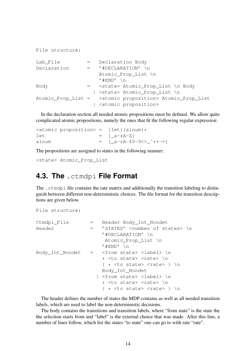```
File structure:
Lab File = Declaration Body
Declaration = '#DECLARATION' \n
                  Atomic_Prop_List \n
                   ' #END' \n
Body = <state> Atomic_Prop_List \n Body
                 | <state> Atomic_Prop_List \n
Atomic_Prop_List = <atomic proposition> Atomic_Prop_List
                 | <atomic proposition>
```
In the declaration section all needed atomic propositions must be defined. We allow quite complicated atomic propositions, namely the ones that fit the following regular expression:

```
\langle <atomic proposition> = {let}{alnum} *
let = [a-zA-Z]alnum = \int a-zA-Z0-9\langle \rangle \rightarrow +--]
```
The propositions are assigned to states in the following manner:

<state> Atomic\_Prop\_List

## <span id="page-16-0"></span>**4.3. The** .ctmdpi **File Format**

The .ctmdpi file contains the rate matrix and additionally the transition labeling to distinguish between different non-deterministic choices. The file format for the transition descriptions are given below.

```
File structure:
Ctmdpi_File = Header Body_Int_Nondet
Header = 'STATES' <number of states> \n
                     '#DECLARATION' \n
                      Atomic_Prop_List \n
                     ' #END' \n
Body Int Nondet = \langlefrom state> \langlelabel> \langlen
                      * <to state> <rate> \n
                     \{ * <to state> <rate> \}Body_Int_Nondet
                    | <from state> <label> \n
                      * <to state> <rate> \n
                      \{ * <to state> <rate> \}
```
The header defines the number of states the MDP contains as well as all needed transition labels, which are used to label the non-deterministic decisions.

The body contains the transitions and transition labels, where "from state" is the state the the selection starts from and "label" is the external choice that was made. After this line, a number of lines follow, which list the states "to state" one can go to with rate "rate".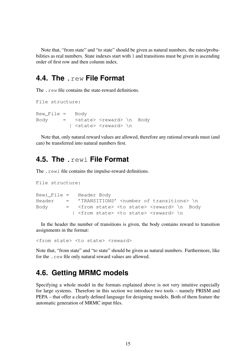Note that, "from state" and "to state" should be given as natural numbers, the rates/probabilities as real numbers. State indexes start with 1 and transitions must be given in ascending order of first row and then column index.

### <span id="page-17-0"></span>**4.4. The** .rew **File Format**

The rew file contains the state-reward definitions.

```
File structure:
Rew_File = Body
Body = <state> <reward> \n Body
          | <state> <reward> \n
```
Note that, only natural reward values are allowed, therefore any rational rewards must (and can) be transferred into natural numbers first.

## <span id="page-17-1"></span>**4.5. The** .rewi **File Format**

The .rewi file contains the impulse-reward definitions.

```
File structure:
Rewi_File = Header Body
Header = 'TRANSITIONS' <number of transitions> \n
Body = <from state> <to state> <reward> \n Body
           | <from state> <to state> <reward> \n
```
In the header the number of transitions is given, the body contains reward to transition assignments in the format:

<from state> <to state> <reward>

Note that, "from state" and "to state" should be given as natural numbers. Furthermore, like for the .rew file only natural reward values are allowed.

## <span id="page-17-2"></span>**4.6. Getting MRMC models**

Specifying a whole model in the formats explained above is not very intuitive especially for large systems. Therefore in this section we introduce two tools – namely PRISM and PEPA – that offer a clearly defined language for designing models. Both of them feature the automatic generation of MRMC input files.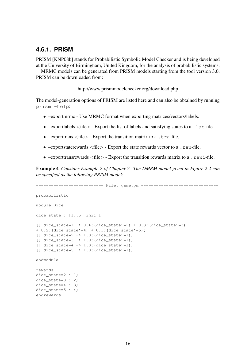#### <span id="page-18-0"></span>**4.6.1. PRISM**

PRISM [\[KNP08b\]](#page-47-6) stands for Probabilistic Symbolic Model Checker and is being developed at the University of Birmingham, United Kingdom, for the analysis of probabilistic systems.

MRMC models can be generated from PRISM models starting from the tool version 3.0. PRISM can be downloaded from:

<http://www.prismmodelchecker.org/download.php>

The model-generation options of PRISM are listed here and can also be obtained by running prism -help:

- –exportmrmc Use MRMC format when exporting matrices/vectors/labels.
- $-exportlabels < file > -Expert the list of labels and satisfying states to a .Lab-file.$
- $-exporttrans < file>$  Export the transition matrix to a . tra-file.
- $-exports taterewards < file > Expert the state rewards vector to a .rew-file.$
- $-exporttransrewards < file>$  Export the transition rewards matrix to a . rewi-file.

Example 4 *Consider Example [2](#page-8-1) of Chapter [2.](#page-7-0) The DMRM model given in Figure [2.2](#page-8-0) can be specified as the following PRISM model:*

```
--------------------------- File: game.pm -------------------------------
probabilistic
module Dice
dice_state : [1..5] init 1;
[] dice_state=1 -> 0.4:(dice_state'=2) + 0.3:(dice_state'=3)
+ 0.2:(dice_state'=4) + 0.1:(dice_state'=5);
[] dice state=2 -> 1.0:(dice state'=1);
[1] dice state=3 -> 1.0:(dice state'=1);
[] dice state=4 \rightarrow 1.0:(dice state'=1);
[ ] dice state=5 -> 1.0:(dice state'=1);
endmodule
rewards
dice state=2 : 1;dice_state=3 : 2;
dice_state=4 : 3;
dice state=5 : 4;endrewards
-------------------------------------------------------------------------
```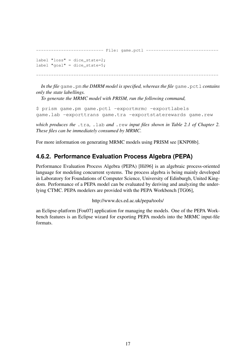```
---------- File: game.pctl ------------
label "loss" = dice_state=2;
label "goal" = dice\_state=5;-------------------------------------------------------------------------
```
*In the file* game.pm *the DMRM model is specified, whereas the file* game.pctl *contains only the state labellings.*

*To generate the MRMC model with PRISM, run the following command,*

```
$ prism game.pm game.pctl -exportmrmc -exportlabels
game.lab -exporttrans game.tra -exportstaterewards game.rew
```
*which produces the* .tra*,* .lab *and* .rew *input files shown in Table [2.1](#page-10-0) of Chapter [2.](#page-7-0) These files can be immediately consumed by MRMC.*

For more information on generating MRMC models using PRISM see [\[KNP08b\]](#page-47-6).

## <span id="page-19-0"></span>**4.6.2. Performance Evaluation Process Algebra (PEPA)**

Performance Evaluation Process Algebra (PEPA) [\[Hil96\]](#page-46-6) is an algebraic process-oriented language for modeling concurrent systems. The process algebra is being mainly developed in Laboratory for Foundations of Computer Science, University of Edinburgh, United Kingdom. Performance of a PEPA model can be evaluated by deriving and analyzing the underlying CTMC. PEPA modelers are provided with the PEPA Workbench [\[TG06\]](#page-49-3),

<http://www.dcs.ed.ac.uk/pepa/tools/>

an Eclipse-platform [\[Fou07\]](#page-45-5) application for managing the models. One of the PEPA Workbench features is an Eclipse wizard for exporting PEPA models into the MRMC input-file formats.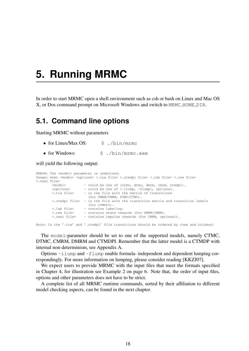## <span id="page-20-0"></span>**5. Running MRMC**

In order to start MRMC open a shell environment such as csh or bash on Linux and Mac OS X, or Dos command prompt on Microsoft Windows and switch to MRMC HOME DIR.

## <span id="page-20-1"></span>**5.1. Command line options**

Starting MRMC without parameters

- for Linux/Max OS:  $\frac{1}{5}$ , /bin/mrmc
- for Windows:  $\frac{1}{2}$  S. /bin/mrmc.exe

will yield the following output:

```
ERROR: The <model> parameter is undefined.
Usage: mrmc <model> <options> <.tra file> <.ctmdpi file> <.lab file> <.rew file>
<.rewi file>
       <model> - could be one of {ctmc, dtmc, dmrm, cmrm, ctmdpi}.
       <options> - could be one of {-ilump, -flump}, optional.
       <.tra file> - is the file with the matrix of transitions
                        (for DMRM/CMRM, DTMC/CTMC).
       <.ctmdpi file> - is the file with the transition matrix and transition labels
                        (for CTMDPI).
       <.lab file> - contains labeling.
       <.rew file> - contains state rewards (for DMRM/CMRM).
       <.rewi file> - contains impulse rewards (for CMRM, optional).
```
Note: In the '.tra' and '.ctmdpi' file transitions should be ordered by rows and columns!

The model-parameter should be set to one of the supported models, namely CTMC, DTMC, CMRM, DMRM and CTMDPI. Remember that the latter model is a CTMDP with internal non-determinism, see Appendix [A.](#page-50-0)

Options  $-i$  lump and  $-f$ lump enable formula- independent and dependent lumping correspondingly. For more information on lumping, please consider reading [\[KKZJ07\]](#page-47-4).

We expect users to provide MRMC with the input files that meet the formats specified in Chapter [4,](#page-15-0) for illustration see Example [2](#page-8-1) on page [6.](#page-8-1) Note that, the order of input files, options and other parameters does not have to be strict.

A complete list of all MRMC runtime commands, sorted by their affiliation to different model checking aspects, can be found in the next chapter.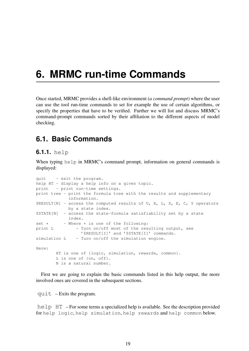## <span id="page-21-0"></span>**6. MRMC run-time Commands**

Once started, MRMC provides a shell-like environment (*a command prompt*) where the user can use the tool run-time commands to set for example the use of certain algorithms, or specify the properties that have to be verified. Further we will list and discuss MRMC's command-prompt commands sorted by their affiliation to the different aspects of model checking.

## <span id="page-21-1"></span>**6.1. Basic Commands**

#### <span id="page-21-2"></span>**6.1.1.** help

When typing help in MRMC's command prompt, information on general commands is displayed:

```
quit - exit the program.
help HT - display a help info on a given topic.
print - print run-time settings.
print tree - print the formula tree with the results and supplementary
            information.
$RESULT[N] - access the computed results of U, X, L, S, E, C, Y operators
           by a state index.
$STATE[N] - access the state-formula satisfiability set by a state
            index.
set * - Where * is one of the following:
print L - Turn on/off most of the resulting output, see
                '$RESULT[I]' and '$STATE[I]' commands.
simulation L - Turn on/off the simulation engine.
Here:
       HT is one of {logic, simulation, rewards, common}.
       L is one of {on, off}.
       N is a natural number.
```
First we are going to explain the basic commands listed in this help output, the more involved ones are covered in the subsequent sections.

quit – Exits the program.

help HT – For some terms a specialized help is available. See the description provided for help logic, help simulation, help rewards and help common below.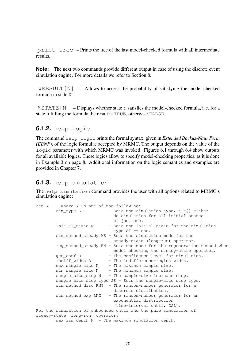print tree – Prints the tree of the last model-checked formula with all intermediate results.

**Note:** The next two commands provide different output in case of using the discrete event simulation engine. For more details we refer to Section [8.](#page-35-0)

 $$RESUMT[N] - Allows$  to access the probability of satisfying the model-checked formula in state N.

\$STATE[N] – Displays whether state N satisfies the model-checked formula, i. e. for a state fulfilling the formula the result is TRUE, otherwise FALSE.

#### <span id="page-22-0"></span>**6.1.2.** help logic

The command help logic prints the formal syntax, given in *Extended Backus-Naur Form (EBNF)*, of the logic formulae accepted by MRMC. The output depends on the value of the logic parameter with which MRMC was invoked. Figures [6.1](#page-23-0) through [6.4](#page-23-1) show outputs for all available logics. These logics allow to specify model-checking properties, as it is done in Example [3](#page-10-1) on page [8.](#page-10-1) Additional information on the logic semantics and examples are provided in Chapter [7.](#page-31-0)

#### <span id="page-22-1"></span>**6.1.3.** help simulation

The help simulation command provides the user with all options related to MRMC's simulation engine:

```
set * - Where * is one of the following:
       sim_type ST - Sets the simulation type, \ie{} either
                            do simulation for all initial states
                            or just one.
       initial state N - Sets the initial state for the simulation
                             type ST == one.
       sim method steady MS - Sets the simulation mode for the
                             steady-state (long-run) operator.
       reg_method_steady RM - Sets the mode for the regeneration method when
                            model checking the steady-state operator.
       gen_conf R - The confidence level for simulation.
       indiff_width R - The indifference-region width.
       max_sample_size N - The maximum sample size.
       min_sample_size N - The minimum sample size.
       sample_size_step N - The sample-size increase step.
       sample_size_step_type SS - Sets the sample-size step type.
       sim_method_disc RNG - The random-number generator for a
                             discrete distribution.
       sim_method_exp RNG - The random-number generator for an
                             exponential distribution
                             (time-interval until, CSL).
For the simulation of unbounded until and the pure simulation of
steady-state (long-run) operator:
       max_sim_depth N - The maximum simulation depth.
```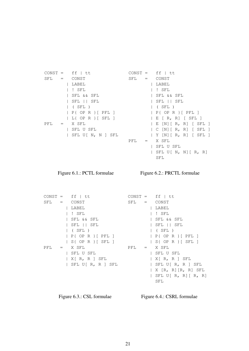|         | $CONST = ff   tt$ |         |         | $CONST = ff   tt$               |
|---------|-------------------|---------|---------|---------------------------------|
|         | $SFL = CONST$     | $SFL =$ |         | CONST                           |
|         | LABEL             |         |         | LABEL                           |
|         | ! SFL             |         |         | ! SFL                           |
|         | SFL && SFL        |         |         | SFL && SFL                      |
|         | SFL    SFL        |         |         | SFL    SFL                      |
|         | $\vert$ (SFL)     |         |         | $ $ (SFL)                       |
|         | $P\{OPR\}$ [PFL]  |         |         | $P\{OPR\}$ [PFL]                |
|         | L{ OP R } [ SFL ] |         |         | $E$ $[ R, R ]$ $[ SFL ]$        |
| $PFL =$ | X SFL             |         |         | E[N] [R, R] [SFL]               |
|         | SFL U SFL         |         |         | $C[N][R, R]$ [SFL]              |
|         | SFL U[ N, N ] SFL |         |         | $ Y[N][R, R]$ [SFL]             |
|         |                   | PFL     | $=$ $-$ | X SFL                           |
|         |                   |         |         | SFL U SFL                       |
|         |                   |         |         | SFL U $\lceil N, N \rceil$ R, R |

<span id="page-23-0"></span>Figure 6.1.: PCTL formulae

Figure 6.2.: PRCTL formulae

SFL

 $CONF = ff \mid tt$ SFL = CONST | LABEL | ! SFL | SFL && SFL | SFL || SFL | ( SFL ) | P{ OP R }[ PFL ] | S{ OP R }[ SFL ] PFL = X SFL | SFL U SFL | X[ R, R ] SFL | SFL U[ R, R ] SFL  $CONST = ff | tt$ SFL = CONST | LABEL | ! SFL | SFL && SFL | SFL || SFL | ( SFL ) | P{ OP R }[ PFL ] | S{ OP R }[ SFL ] PFL = X SFL | SFL U SFL | X[ R, R ] SFL | SFL U[ R, R ] SFL | X [R, R][R, R] SFL | SFL U[ R, R][ R, R] SFL

Figure 6.3.: CSL formulae

<span id="page-23-1"></span>Figure 6.4.: CSRL formulae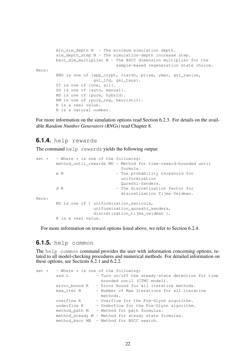```
min_sim_depth N - The minimum simulation depth.
        sim_depth_step N - The simulation-depth increase step.
        bscc_dim_multiplier N - The BSCC dimension multiplier for the
                                sample-based regeneration state choice.
Here:
        RNG is one of {app_crypt, ciardo, prism, ymer, gsl_ranlux,
                       gsl_lfg, gsl_taus}.
        ST is one of {one, all}.
        SS is one of {auto, manual}.
        MS is one of {pure, hybrid}.
        RM is one of {pure reg, heuristic}.
        R is a real value.
        N is a natural number.
```
For more information on the simulation options read Section [6.2.3.](#page-27-1) For details on the available *Random Number Generators (RNGs)* read Chapter [8.](#page-35-0)

#### <span id="page-24-0"></span>**6.1.4.** help rewards

The command help rewards yields the following output:

|       |                    | set $\star$ - Where $\star$ is one of the following:           |  |
|-------|--------------------|----------------------------------------------------------------|--|
|       |                    | method until rewards MU - Method for time-reward-bounded until |  |
|       |                    | formula.                                                       |  |
|       | w R                | - The probability threshold for                                |  |
|       |                    | uniformization                                                 |  |
|       |                    | Oureshi-Sanders.                                               |  |
|       | d R                | - The discretization factor for                                |  |
|       |                    | discretization Tijms-Veldman.                                  |  |
| Here: |                    |                                                                |  |
|       |                    | MU is one of { uniformization sericola,                        |  |
|       |                    | uniformization_qureshi_sanders,                                |  |
|       |                    | discretization tijms veldman }.                                |  |
|       | R is a real value. |                                                                |  |

For more information on reward options listed above, we refer to Section [6.2.4.](#page-30-0)

#### <span id="page-24-1"></span>**6.1.5.** help common

The help common command provides the user with information concerning options, related to all model-checking procedures and numerical methods. For detailed information on these options, see Sections [6.2.1](#page-26-1) and [6.2.2.](#page-27-0)

|             | set $\star$ - Where $\star$ is one of the following:   |
|-------------|--------------------------------------------------------|
| ssd L       | - Turn on/off the steady-state detection for time      |
|             | bounded until (CTMC model).                            |
|             | error_bound R - Error Bound for all iterative methods. |
| max iter N  | - Number of Max Iterations for all iterative           |
|             | methods.                                               |
| overflow R  | - Overflow for the Fox-Glynn algorithm.                |
| underflow R | - Underflow for the Fox-Glynn algorithm.               |
|             | method path M - Method for path formulas.              |
|             | method steady M - Method for steady state formulas.    |
|             | method bscc MB - Method for BSCC search.               |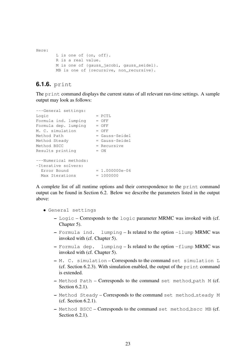```
Here:
       L is one of {on, off}.
       R is a real value.
       M is one of {gauss_jacobi, gauss_seidel}.
       MB is one of {recursive, non_recursive}.
```
#### <span id="page-25-0"></span>**6.1.6.** print

The print command displays the current status of all relevant run-time settings. A sample output may look as follows:

```
---General settings:
\text{Logic} = PCTL
Formula ind. lumping = OFF
Formula dep. lumping = OFF
M. C. simulation = OFFMethod Path = Gauss-Seidel
Method Steady = Gauss-Seidel
Method BSCC = Recursive
Results printing = ON---Numerical methods:
-Iterative solvers:
 Error Bound = 1.000000e-06
 Max \text{ Iterations} = 1000000
```
A complete list of all runtime options and their correspondence to the print command output can be found in Section [6.2.](#page-26-0) Below we describe the parameters listed in the output above:

- General settings
	- Logic Corresponds to the logic parameter MRMC was invoked with (cf. Chapter [5\)](#page-20-0).
	- Formula ind. lumping Is related to the option -ilump MRMC was invoked with (cf. Chapter [5\)](#page-20-0).
	- Formula dep. lumping Is related to the option -flump MRMC was invoked with (cf. Chapter [5\)](#page-20-0).
	- M. C. simulation Corresponds to the command set simulation L (cf. Section [6.2.3\)](#page-27-1). With simulation enabled, the output of the print command is extended.
	- Method Path Corresponds to the command set method path M (cf. Section [6.2.1\)](#page-26-1).
	- Method Steady Corresponds to the command set method steady M (cf. Section [6.2.1\)](#page-26-1).
	- Method BSCC Corresponds to the command set method bscc MB (cf. Section [6.2.1\)](#page-26-1).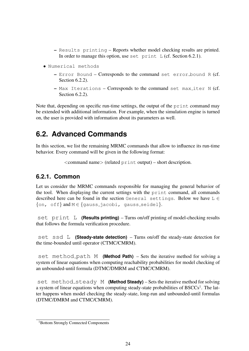- Results printing Reports whether model checking results are printed. In order to manage this option, use set print  $L$  (cf. Section [6.2.1\)](#page-26-1).
- Numerical methods
	- Error Bound Corresponds to the command set error bound R (cf. Section [6.2.2\)](#page-27-0).
	- Max Iterations Corresponds to the command set max iter N (cf. Section [6.2.2\)](#page-27-0).

Note that, depending on specific run-time settings, the output of the print command may be extended with additional information. For example, when the simulation engine is turned on, the user is provided with information about its parameters as well.

## <span id="page-26-0"></span>**6.2. Advanced Commands**

In this section, we list the remaining MRMC commands that allow to influence its run-time behavior. Every command will be given in the following format:

<command name> (related print output) – short description.

#### <span id="page-26-1"></span>**6.2.1. Common**

Let us consider the MRMC commands responsible for managing the general behavior of the tool. When displaying the current settings with the print command, all commands described here can be found in the section General settings. Below we have  $L \in$  $\{\text{on, of }f\}$  and  $M \in \{\text{gauss_iacobi, gauss_sed.}\}.$ 

set print L **(Results printing)** – Turns on/off printing of model-checking results that follows the formula verification procedure.

set ssd L **(Steady-state detection)** – Turns on/off the steady-state detection for the time-bounded until operator (CTMC/CMRM).

set method path M **(Method Path)** – Sets the iterative method for solving a system of linear equations when computing reachability probabilities for model checking of an unbounded-until formula (DTMC/DMRM and CTMC/CMRM).

set method steady M **(Method Steady)** – Sets the iterative method for solving a system of linear equations when computing steady-state probabilities of  $BSCCs<sup>1</sup>$  $BSCCs<sup>1</sup>$  $BSCCs<sup>1</sup>$ . The latter happens when model checking the steady-state, long-run and unbounded-until formulas (DTMC/DMRM and CTMC/CMRM).

<span id="page-26-2"></span><sup>&</sup>lt;sup>1</sup>Bottom Strongly Connected Components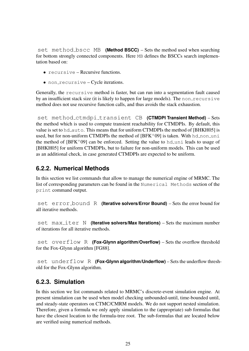set method bscc MB **(Method BSCC)** – Sets the method used when searching for bottom strongly connected components. Here MB defines the BSCCs search implementation based on:

- recursive Recursive functions.
- non\_recursive Cycle iterations.

Generally, the recursive method is faster, but can run into a segmentation fault caused by an insufficient stack size (it is likely to happen for large models). The non recursive method does not use recursive function calls, and thus avoids the stack exhaustion.

set method ctmdpi transient CB **(CTMDPI Transient Method)** – Sets the method which is used to compute transient reachability for CTMDPIs. By default, this value is set to  $hd$ -auto. This means that for uniform CTMDPIs the method of [\[BHKH05\]](#page-45-3) is used, but for non-uniform CTMDPIs the method of  $[BFK^+09]$  $[BFK^+09]$  is taken. With hd\_non\_uni the method of  $[BFK^+09]$  $[BFK^+09]$  can be enforced. Setting the value to hd uni leads to usage of [\[BHKH05\]](#page-45-3) for uniform CTMDPIs, but to failure for non-uniform models. This can be used as an additional check, in case generated CTMDPIs are expected to be uniform.

### <span id="page-27-0"></span>**6.2.2. Numerical Methods**

In this section we list commands that allow to manage the numerical engine of MRMC. The list of corresponding parameters can be found in the Numerical Methods section of the print command output.

set error bound R **(Iterative solvers/Error Bound)** – Sets the error bound for all iterative methods.

set max\_iter N **(Iterative solvers/Max Iterations)** – Sets the maximum number of iterations for all iterative methods.

set overflow R **(Fox-Glynn algorithm/Overflow)** – Sets the overflow threshold for the Fox-Glynn algorithm [\[FG88\]](#page-45-6).

set underflow R **(Fox-Glynn algorithm/Underflow)** – Sets the underflow threshold for the Fox-Glynn algorithm.

#### <span id="page-27-1"></span>**6.2.3. Simulation**

In this section we list commands related to MRMC's discrete-event simulation engine. At present simulation can be used when model checking unbounded-until, time-bounded until, and steady-state operators on CTMC/CMRM models. We do not support nested simulation. Therefore, given a formula we only apply simulation to the (appropriate) sub formulas that have the closest location to the formula-tree root. The sub-formulas that are located below are verified using numerical methods.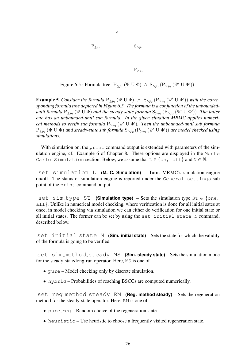$P_{\leq p_1}$  S<sub>>p<sub>2</sub></sub>

 $P_{\geq p_3}$ 

<span id="page-28-0"></span>Figure 6.5.: Formula tree:  $P_{\leq p_1}(\Psi \cup \Phi) \wedge S_{>p_2} (P_{>p_3}(\Psi' \cup \Phi'))$ 

∧

**Example 5** Consider the formula  $P_{\leq p_1}(\Psi \cup \Phi) \land S_{\geq p_2}(P_{\geq p_3}(\Psi' \cup \Phi'))$  with the corre*sponding formula tree depicted in Figure [6.5.](#page-28-0) The formula is a conjunction of the unbounded*until formula  $P_{\leq p_1}(\Psi \cup \Phi)$  and the steady-state formula  $S_{>p_2}(P_{>p_3}(\Psi' \cup \Phi'))$ *. The latter one has an unbounded-until sub formula. In the given situation MRMC applies numerical methods to verify sub formula*  $P_{>p_3}$   $(\Psi' \cup \Phi')$ . Then the unbounded-until sub formula  $P_{\leq p_1}(\Psi \cup \Phi)$  and steady-state sub formula  $S_{>p_2}(P_{>p_3}(\Psi' \cup \Phi'))$  are model checked using *simulations.*

With simulation on, the print command output is extended with parameters of the simulation engine, cf. Example [6](#page-37-2) of Chapter [8.](#page-35-0) These options are displayed in the Monte Carlo Simulation section. Below, we assume that  $L \in \{on, \text{ off}\}\$  and  $N \in \mathbb{N}$ .

set simulation L **(M. C. Simulation)** – Turns MRMC's simulation engine on/off. The status of simulation engine is reported under the General settings sub point of the print command output.

set sim\_type ST (Simulation type) - Sets the simulation type ST ∈ {one, all}. Unlike in numerical model checking, where verification is done for all initial sates at once, in model checking via simulation we can either do verification for one initial state or all initial states. The former can be set by using the set initial state N command, described below.

set initial state N **(Sim. initial state)** – Sets the state for which the validity of the formula is going to be verified.

set sim method steady MS **(Sim. steady state)** – Sets the simulation mode for the steady-state/long-run operator. Here, MS is one of

- pure Model checking only by discrete simulation.
- hybrid Probabilities of reaching BSCCs are computed numerically.

set reg method steady RM **(Reg. method steady)** – Sets the regeneration method for the steady-state operator. Here, RM is one of

- pure  $\text{req}$  Random choice of the regeneration state.
- heuristic Use heuristic to choose a frequently visited regeneration state.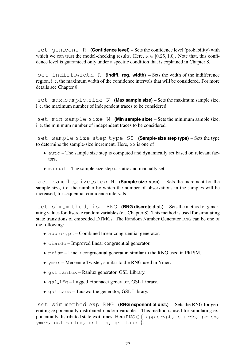set gen\_conf R **(Confidence level)** – Sets the confidence level (probability) with which we can trust the model-checking results. Here,  $R \in [0.25, 1.0]$ . Note that, this confidence level is guaranteed only under a specific condition that is explained in Chapter [8.](#page-35-0)

set indiff width R **(Indiff. reg. width)** – Sets the width of the indifference region, i. e. the maximum width of the confidence intervals that will be considered. For more details see Chapter [8.](#page-35-0)

set max\_sample\_size N **(Max sample size)** – Sets the maximum sample size, i. e. the maximum number of independent traces to be considered.

set min\_sample\_size N **(Min sample size)** – Sets the minimum sample size, i. e. the minimum number of independent traces to be considered.

set sample size step type SS **(Sample-size step type)** – Sets the type to determine the sample-size increment. Here, SS is one of

- auto The sample size step is computed and dynamically set based on relevant factors.
- manual The sample size step is static and manually set.

set sample size step N **(Sample-size step)** – Sets the increment for the sample-size, i. e. the number by which the number of observations in the samples will be increased, for sequential confidence intervals.

set sim method disc RNG **(RNG discrete dist.)** – Sets the method of generating values for discrete random variables (cf. Chapter [8\)](#page-35-0). This method is used for simulating state transitions of embedded DTMCs. The Random Number Generator RNG can be one of the following:

- app  $c$  crypt Combined linear congruential generator.
- ciardo Improved linear congruential generator.
- prism Linear congruential generator, similar to the RNG used in PRISM.
- ymer Mersenne Twister, similar to the RNG used in Ymer.
- gsl ranlux Ranlux generator, GSL Library.
- gsl\_lfg Lagged Fibonacci generator, GSL Library.
- $\bullet$  qsl\_taus Tausworthe generator, GSL Library.

set sim method exp RNG **(RNG exponential dist.)** – Sets the RNG for generating exponentially distributed random variables. This method is used for simulating exponentially distributed state-exit times. Here RNG  $\in$  { app\_crypt, ciardo, prism, ymer, gsl\_ranlux, gsl\_lfg, gsl\_taus }.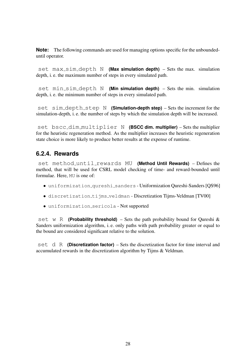**Note:** The following commands are used for managing options specific for the unboundeduntil operator.

set max\_sim\_depth N **(Max simulation depth)** – Sets the max. simulation depth, i. e. the maximum number of steps in every simulated path.

set min\_sim\_depth N (Min simulation depth) - Sets the min. simulation depth, i. e. the minimum number of steps in every simulated path.

set sim depth step N **(Simulation-depth step)** – Sets the increment for the simulation-depth, i. e. the number of steps by which the simulation depth will be increased.

set bscc dim multiplier N **(BSCC dim. multiplier)** – Sets the multiplier for the heuristic regeneration method. As the multiplier increases the heuristic regeneration state choice is more likely to produce better results at the expense of runtime.

### <span id="page-30-0"></span>**6.2.4. Rewards**

set method until rewards MU **(Method Until Rewards)** – Defines the method, that will be used for CSRL model checking of time- and reward-bounded until formulae. Here, MU is one of:

- uniformization qureshi sanders Uniformization Qureshi-Sanders [\[QS96\]](#page-48-5)
- discretization tijms veldman Discretization Tijms-Veldman [\[TV00\]](#page-49-1)
- uniformization sericola Not supported

set w R **(Probability threshold)** – Sets the path probability bound for Qureshi  $\&$ Sanders uniformization algorithm, i. e. only paths with path probability greater or equal to the bound are considered significant relative to the solution.

set d R **(Discretization factor)** – Sets the discretization factor for time interval and accumulated rewards in the discretization algorithm by Tijms & Veldman.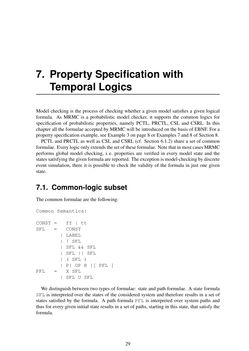## <span id="page-31-0"></span>**7. Property Specification with Temporal Logics**

Model checking is the process of checking whether a given model satisfies a given logical formula. As MRMC is a probabilistic model checker, it supports the common logics for specification of probabilistic properties, namely PCTL, PRCTL, CSL and CSRL. In this chapter all the formulae accepted by MRMC will be introduced on the basis of EBNF. For a property specification example, see Example [3](#page-10-1) on page [8](#page-10-1) or Examples [7](#page-38-0) and [8](#page-39-0) of Section [8.](#page-35-0)

PCTL and PRCTL as well as CSL and CSRL (cf. Section [6.1.2\)](#page-22-0) share a set of common formulae. Every logic only extends the set of these formulae. Note that in most cases MRMC performs global model checking, i. e. properties are verified in every model state and the states satisfying the given formula are reported. The exception is model-checking by discrete event simulation, there it is possible to check the validity of the formula in just one given state.

## <span id="page-31-1"></span>**7.1. Common-logic subset**

The common formulae are the following:

```
Common Semantics:
CONST = ff | ttSFL = CONST
        | LABEL
        | ! SFL
        | SFL && SFL
         | SFL || SFL
        | ( SFL )
        | P{ OP R }[ PFL ]
PFL = X SFL
        | SFL U SFL
```
We distinguish between two types of formulae: state and path formulae. A state formula SFL is interpreted over the states of the considered system and therefore results in a set of states satisfied by the formula. A path formula PFL is interpreted over system paths and thus for every given initial state results in a set of paths, starting in this state, that satisfy the formula.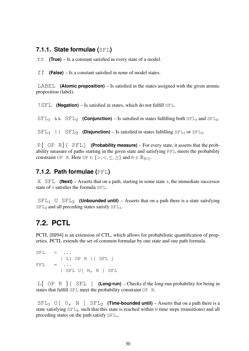#### <span id="page-32-0"></span>**7.1.1. State formulae (**SFL**)**

tt **(True)** – Is a constant satisfied in every state of a model.

ff **(False)** – Is a constant satisfied in none of model states.

LABEL **(Atomic proposition)** – Is satisfied in the states assigned with the given atomic proposition (label).

!SFL **(Negation)** – Is satisfied in states, which do not fulfill SFL.

 $\text{SFL}_1$  &  $\text{SFL}_2$  (Conjunction) – Is satisfied in states fulfilling both  $\text{SFL}_1$  and  $\text{SFL}_2$ .

 $\text{SFL}_1$  ||  $\text{SFL}_2$  **(Disjunction)** – Is satisfied in states fulfilling  $\text{SFL}_1$  or  $\text{SFL}_2$ .

P{ OP R}[ PFL] **(Probability measure)** – For every state, it asserts that the probability measure of paths starting in the given state and satisfying PFL meets the probability constraint OP R. Here OP  $\in \{>, <, \leq, \geq\}$  and  $R \in \mathbb{R}_{[0,1]}$ .

#### <span id="page-32-1"></span>**7.1.2. Path formulae (**PFL**)**

 $X$  SFL **(Next)** – Asserts that on a path, starting in some state s, the immediate successor state of s satisfies the formula SFL.

 $\text{SFL}_1$  U  $\text{SFL}_2$  (Unbounded until) – Asserts that on a path there is a state satisfying  $SFL<sub>2</sub>$  and all preceding states satisfy  $SFL<sub>1</sub>$ .

### <span id="page-32-2"></span>**7.2. PCTL**

PCTL [\[HJ94\]](#page-46-2) is an extension of CTL, which allows for probabilistic quantification of properties. PCTL extends the set of common formulae by one state and one path formula.

```
\text{SFL} = ...
      | L{ OP R }[ SFL ]
PFL = ...| SFL U[ N, N ] SFL
```
 $Lf$  OP R  $\}$  [ SFL ] **(Long-run)** – Checks if the long-run probability for being in states that fulfill SFL meet the probability constraint OP R.

 $SFL<sub>1</sub>$  U[ 0, N ]  $SFL<sub>2</sub>$  (**Time-bounded until**) – Asserts that on a path there is a state satisfying  $SFL<sub>2</sub>$ , such that this state is reached within N time steps (transitions) and all preceding states on the path satisfy  $SFL_1$ .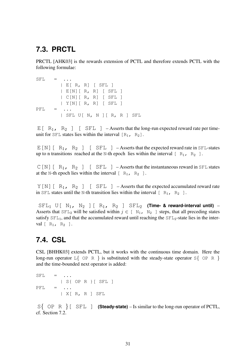## <span id="page-33-0"></span>**7.3. PRCTL**

PRCTL [\[AHK03\]](#page-44-2) is the rewards extension of PCTL and therefore extends PCTL with the following formulae:

```
\text{SFL} = ...
        | E[ R, R] [ SFL ]
        | E[N][ R, R] [ SFL ]
        | C[N][ R, R] [ SFL ]
        | Y[N][ R, R] [ SFL ]
PFL = \ldots| SFL U[ N, N ][ R, R ] SFL
```
 $E[\begin{array}{cc} R_1, R_2 \end{array}]$  [ SFL ] – Asserts that the long-run expected reward rate per timeunit for SFL states lies within the interval  $[R_1, R_2]$ .

 $E[N]$ [ R<sub>1</sub>, R<sub>2</sub> ] [ SFL ] – Asserts that the expected reward rate in SFL-states up to n transitions reached at the N-th epoch lies within the interval  $[-R_1, R_2]$ .

 $C[N]$ [ R<sub>1</sub>, R<sub>2</sub> ] [ SFL ] – Asserts that the instantaneous reward in SFL states at the N-th epoch lies within the interval  $[-R_1, R_2]$ .

 $Y[N]$ [ R<sub>1</sub>, R<sub>2</sub> ] [ SFL ] – Asserts that the expected accumulated reward rate in SFL states until the N-th transition lies within the interval  $[ R_1, R_2 ]$ .

 $\text{SFL}_1$  U[ N<sub>1</sub>, N<sub>2</sub> ] [ R<sub>1</sub>, R<sub>2</sub> ]  $\text{SFL}_2$  (Time- & reward-interval until) – Asserts that  $SFL_2$  will be satisfied within  $j \in [N_1, N_2]$  steps, that all preceding states satisfy  $SFL_1$ , and that the accumulated reward until reaching the  $SFL_2$ -state lies in the interval  $[R_1, R_2]$ .

## <span id="page-33-1"></span>**7.4. CSL**

CSL [\[BHHK03\]](#page-45-1) extends PCTL, but it works with the continuous time domain. Here the long-run operator  $L\{\text{OP } R\}$  is substituted with the steady-state operator  $S\{\text{OP } R\}$ and the time-bounded next operator is added:

```
SFL = \ldots| S{ OP R }[ SFL ]
PFL = ...| X[ R, R ] SFL
```
S{ OP R }[ SFL ] **(Steady-state)** – Is similar to the long-run operator of PCTL, cf. Section [7.2.](#page-32-2)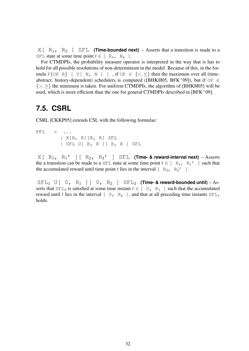$X[-R_1, R_2]$  SFL **(Time-bounded next)** – Asserts that a transition is made to a SFL state at some time point  $t \in [R_1, R_2]$ .

For CTMDPIs, the probability measure operator is interpreted in the way that is has to hold for all possible resolutions of non-determinism in the model. Because of this, in the formula P $\{OP \ R\}$  [ U[ N, N ] ], if  $OP \in \{<,\leq\}$  then the maximum over all (time-abstract, history-dependent) schedulers is computed ([\[BHKH05,](#page-45-3) [BFK](#page-44-5)+09]), but if  $OP \in$  $\{>, \geq\}$  the minimum is taken. For uniform CTMDPIs, the algorithm of [\[BHKH05\]](#page-45-3) will be used, which is more efficient than the one for general CTMDPIs described in  $[BFK^+09]$  $[BFK^+09]$ .

## <span id="page-34-0"></span>**7.5. CSRL**

CSRL [\[CKKP05\]](#page-45-2) extends CSL with the following formulae:

 $\text{PFL}$  = ... | X[R, R][R, R] SFL | SFL U[ R, R ][ R, R ] SFL

 $X[ R_1, R_1' ] [ R_2, R_2' ] SFL$  (Time- & reward-interval next) – Asserts the a transition can be made to a SFL state at some time point  $t \in [R_1, R_1']$  such that the accumulated reward until time point t lies in the interval  $[-R_2, R_2']$ .

 $\text{SFL}_1$  U[ 0, R<sub>1</sub> ][ 0, R<sub>2</sub> ]  $\text{SFL}_2$  (Time- & reward-bounded until) – Asserts that  $SFL_2$  is satisfied at some time instant  $t \in [0, R_1]$  such that the accumulated reward until t lies in the interval  $[-0, R_2]$ , and that at all preceding time instants  $SFL_1$ holds.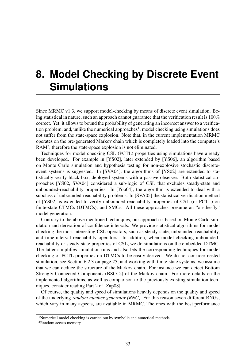## <span id="page-35-0"></span>**8. Model Checking by Discrete Event Simulations**

Since MRMC v1.3, we support model-checking by means of discrete event simulation. Being statistical in nature, such an approach cannot guarantee that the verification result is 100% correct. Yet, it allows to bound the probability of generating an incorrect answer to a verifica-tion problem, and, unlike the numerical approaches<sup>[1](#page-35-1)</sup>, model checking using simulations does not suffer from the state-space explosion. Note that, in the current implementation MRMC operates on the pre-generated Markov chain which is completely loaded into the computer's RAM<sup>[2](#page-35-2)</sup>, therefore the state-space explosion is not eliminated.

Techniques for model checking CSL (PCTL) properties using simulations have already been developed. For example in [\[YS02\]](#page-49-4), later extended by [\[YS06\]](#page-49-5), an algorithm based on Monte Carlo simulation and hypothesis testing for non-explosive stochastic discreteevent systems is suggested. In [\[SVA04\]](#page-48-7), the algorithms of [\[YS02\]](#page-49-4) are extended to statistically verify black-box, deployed systems with a passive observer. Both statistical approaches [\[YS02,](#page-49-4) [SVA04\]](#page-48-7) considered a sub-logic of CSL that excludes steady-state and unbounded-reachability properties. In [\[You04\]](#page-49-6), the algorithm is extended to deal with a subclass of unbounded-reachability problems. In [\[SVA05\]](#page-48-4) the statistical verification method of [\[YS02\]](#page-49-4) is extended to verify unbounded-reachability properties of CSL (or PCTL) on finite-state CTMCs (DTMCs), and SMCs. All these approaches presume an "on-the-fly" model generation.

Contrary to the above mentioned techniques, our approach is based on Monte Carlo simulation and derivation of confidence intervals. We provide statistical algorithms for model checking the most interesting CSL operators, such as steady-state, unbounded-reachability, and time-interval reachability operators. In addition, when model checking unboundedreachability or steady-state properties of CSL, we do simulations on the embedded DTMC. The latter simplifies simulation runs and also lets the corresponding techniques for model checking of PCTL properties on DTMCs to be easily derived. We do not consider nested simulation, see Section [6.2.3](#page-27-1) on page [25,](#page-27-1) and working with finite-state systems, we assume that we can deduce the structure of the Markov chain. For instance we can detect Bottom Strongly Connected Components (BSCCs) of the Markov chain. For more details on the implemented algorithms, as well as comparison to the previously existing simulation techniques, consider reading Part 2 of [\[Zap08\]](#page-49-2).

Of course, the quality and speed of simulations heavily depends on the quality and speed of the underlying *random number generator (RNG)*. For this reason seven different RNGs, which vary in many aspects, are available in MRMC. The ones with the best performance

<span id="page-35-1"></span><sup>&</sup>lt;sup>1</sup>Numerical model checking is carried out by symbolic and numerical methods.

<span id="page-35-2"></span><sup>&</sup>lt;sup>2</sup>Random access memory.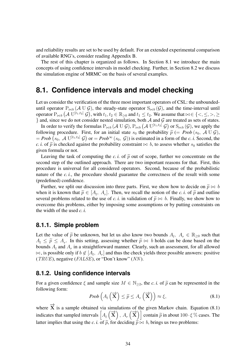and reliability results are set to be used by default. For an extended experimental comparison of available RNG's, consider reading Appendix [B.](#page-52-0)

The rest of this chapter is organized as follows. In Section [8.1](#page-36-0) we introduce the main concepts of using confidence intervals in model checking. Further, in Section [8.2](#page-37-1) we discuss the simulation engine of MRMC on the basis of several examples.

### <span id="page-36-0"></span>**8.1. Confidence intervals and model checking**

Let us consider the verification of the three most important operators of CSL: the unboundeduntil operator  $P_{\bowtie b}$  (A U G), the steady-state operator  $S_{\bowtie b}$  (G), and the time-interval until operator  $P_{\bowtie b}$   $(A \text{ U}^{[t_1,t_2]} \mathcal{G})$ , with  $t_1, t_2 \in \mathbb{R}_{\geq 0}$  and  $t_1 \leq t_2$ . We assume that  $\bowtie \in \{<,\leq,>,\geq\}$ } and, since we do not consider nested simulation, both  $A$  and  $G$  are treated as sets of states.

In order to verify the formulas  $P_{\bowtie b}$   $({\mathcal A} \; U\; {\mathcal G}),$   $P_{\bowtie b}$   $\bigl({\mathcal A} \; U^{[t_1,t_2]}\; {\mathcal G}\bigr)$  or  $S_{\bowtie b}$   $({\mathcal G}),$  we apply the following procedure. First, for an initial state  $s_0$  the probability  $\tilde{p}$  (= *Prob* ( $s_0$ , A U G),  $= Prob(s_0, \mathcal{A} \cup^{[t_1,t_2]} \mathcal{G})$  or  $= Prob^{\infty}(s_0, \mathcal{G})$  is estimated in a form of the *c. i.* Second, the *c. i.* of  $\tilde{p}$  is checked against the probability constraint  $\bowtie$  b, to assess whether  $s_0$  satisfies the given formula or not.

Leaving the task of computing the *c. i.* of  $\tilde{p}$  out of scope, further we concentrate on the second step of the outlined approach. There are two important reasons for that. First, this procedure is universal for all considered operators. Second, because of the probabilistic nature of the *c. i.*, the procedure should guarantee the correctness of the result with some (predefined) confidence.

Further, we split our discussion into three parts. First, we show how to decide on  $\tilde{p} \bowtie b$ when it is known that  $\tilde{p} \in [A_t, A_r]$ . Then, we recall the notion of the *c. i.* of  $\tilde{p}$  and outline several problems related to the use of *c*, *i*, in validation of  $\tilde{p} \bowtie b$ . Finally, we show how to several problems related to the use of *c. i.* in validation of  $\tilde{p} \bowtie b$ . Finally, we show how to overcome this problems, either by imposing some assumptions or by putting constraints on the width of the used *c. i.*

#### <span id="page-36-1"></span>**8.1.1. Simple problem**

Let the value of  $\tilde{p}$  be unknown, but let us also know two bounds  $A_l$ ,  $A_r \in \mathbb{R}_{\geq 0}$  such that  $A_r \leq \tilde{p} \leq A_r$ . In this setting, assessing whether  $\tilde{p} \bowtie b$  bolds can be done based on the  $A_l \leq \tilde{p} \leq A_r$ . In this setting, assessing whether  $\tilde{p} \bowtie b$  holds can be done based on the hounds A and A in a straightforward manner. Clearly, such an assessment, for all allowed bounds  $A_l$  and  $A_r$  in a straightforward manner. Clearly, such an assessment, for all allowed  $\bowtie$ , is possible only if  $b \notin [A_l, A_r]$  and thus the check yields three possible answers: positive (TRUE), negative ( $FALSE$ ), or "Don't know" (NN).

#### <span id="page-36-2"></span>**8.1.2. Using confidence intervals**

For a given confidence  $\xi$  and sample size  $M \in \mathbb{N}_{\geq 2}$ , the *c. i.* of  $\tilde{p}$  can be represented in the following form:

<span id="page-36-3"></span>
$$
Prob\left(A_l\left(\overrightarrow{\mathbf{X}}\right) \leq \widetilde{p} \leq A_r\left(\overrightarrow{\mathbf{X}}\right)\right) \approx \xi,\tag{8.1}
$$

where  $\overrightarrow{X}$  is a sample obtained via simulations of the given Markov chain. Equation [\(8.1\)](#page-36-3) indicates that sampled intervals  $\left[ A_{l}(\vec{x}) \right], A_{r}(\vec{x})$  contain  $\tilde{p}$  in about 100 · ξ% cases. The latter implies that using the *c. i.* of  $\tilde{p}$ , for deciding  $\tilde{p} \bowtie b$ , brings us two problems: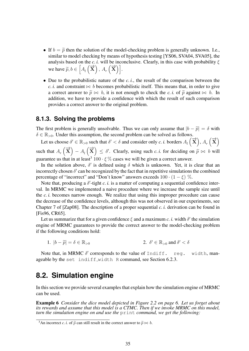- If  $b = \tilde{p}$  then the solution of the model-checking problem is generally unknown. I.e., similar to model checking by means of hypothesis testing [\[YS06,](#page-49-5) [SVA04,](#page-48-7) [SVA05\]](#page-48-4), the analysis based on the *c. i.* will be inconclusive. Clearly, in this case with probability  $\xi$ we have  $\widetilde{p}, b \in \left[A_l\left(\vec{x}\right), A_r\left(\vec{x}\right)\right].$
- Due to the probabilistic nature of the *c. i.*, the result of the comparison between the *c. i.* and constraint  $\bowtie$  *b* becomes probabilistic itself. This means that, in order to give a correct answer to  $\tilde{p} \bowtie b$ , it is not enough to check the *c. i.* of  $\tilde{p}$  against  $\bowtie b$ . In addition, we have to provide a confidence with which the result of such comparison provides a correct answer to the original problem.

#### <span id="page-37-0"></span>**8.1.3. Solving the problems**

The first problem is generally unsolvable. Thus we can only assume that  $|b - \tilde{p}| = \delta$  with  $\delta \in \mathbb{R}_{>0}$ . Under this assumption, the second problem can be solved as follows.

Let us choose  $\delta' \in \mathbb{R}_{>0}$  such that  $\delta' < \delta$  and consider only *c. i.* borders  $A_l(\vec{x}), A_r(\vec{x})$ such that  $A_r(\vec{\mathbf{X}}) - A_l(\vec{\mathbf{X}}) \leq \delta'$ . Clearly, using such *c. i.* for deciding on  $\tilde{p} \bowtie b$  will guarantee us that in at least<sup>[3](#page-37-3)</sup> 100  $\cdot \xi$ % cases we will be given a correct answer.

In the solution above,  $\delta'$  is defined using  $\delta$  which is unknown. Yet, it is clear that an incorrectly chosen  $\delta'$  can be recognized by the fact that in repetitive simulations the combined percentage of "incorrect" and "Don't know" answers exceeds  $100 \cdot (1 - \xi)$  %.

Note that, producing a  $\delta'$ -tight  $c.$  *i*. is a matter of computing a sequential confidence interval. In MRMC we implemented a naive procedure where we increase the sample size until the *c. i.* becomes narrow enough. We realize that using this improper procedure can cause the decrease of the confidence levels, although this was not observed in our experiments, see Chapter 7 of [\[Zap08\]](#page-49-2). The description of a proper sequential *c. i.* derivation can be found in [\[Fis96,](#page-45-7) [CR65\]](#page-45-8).

Let us summarize that for a given confidence  $\xi$  and a maximum *c. i.* width  $\delta'$  the simulation engine of MRMC guarantees to provide the correct answer to the model-checking problem if the following conditions hold:

1.  $|b - \widetilde{p}| = \delta \in \mathbb{R}_{\geq 0}$  $\mathbf{0}' \in \mathbb{R}_{>0}$  and  $\delta' < \delta$ 

Note that, in MRMC  $\delta'$  corresponds to the value of Indiff. reg. width, man-ageable by the set indiff width R command, see Section [6.2.3.](#page-27-1)

## <span id="page-37-1"></span>**8.2. Simulation engine**

In this section we provide several examples that explain how the simulation engine of MRMC can be used.

<span id="page-37-2"></span>Example 6 *Consider the dice model depicted in Figure [2.2](#page-8-0) on page [6.](#page-8-0) Let us forget about its rewards and assume that this model is a CTMC. Then if we invoke MRMC on this model, turn the simulation engine on and use the* print *command, we get the following:*

<span id="page-37-3"></span><sup>&</sup>lt;sup>3</sup>An incorrect *c. i.* of  $\tilde{p}$  can still result in the correct answer to  $\tilde{p} \bowtie b$ .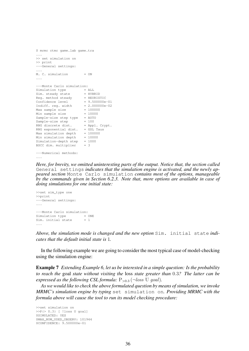```
$ mrmc ctmc game.lab game.tra
...
>> set simulation on
>> print
---General settings:
...
M. C. simulation = ON
...
---Monte Carlo simulation:
Simulation type = ALL
Sim. steady state = HYBRID
Reg. method steady = HEURISTIC
Confidence level = 9.500000e-01<br>Indiff. reg. width = 2.000000e-02Indiff. reg. width
Max sample size = 100000Min sample size = 10000
Sample-size step type = AUTO
Sample-size step = 100
RNG discrete dist. = Appl. Crypt.
RNG exponential dist. = GSL Taus
Max simulation depth = 100000
Min simulation depth = 10000
Simulation-depth step = 1000
BSCC dim. multiplier = 3
---Numerical methods:
```
...

*Here, for brevity, we omitted uninteresting parts of the output. Notice that, the section called* General settings *indicates that the simulation engine is activated, and the newly appeared section* Monte Carlo simulation *contains most of the options, manageable by the commands given in Section [6.2.3.](#page-27-1) Note that, more options are available in case of doing simulations for one initial state:*

```
>>set sim_type one
>>print
---General settings:
...
---Monte Carlo simulation:
Simulation type = ONE<br>Sim. initial state = 1
Sim. initial state
...
```
*Above, the simulation mode is changed and the new option* Sim. initial state *indicates that the default initial state is* 1*.*

In the following example we are going to consider the most typical case of model-checking using the simulation engine:

<span id="page-38-0"></span>Example 7 *Extending Example [6,](#page-37-2) let us be interested in a simple question: Is the probability to reach the* goal *state without visiting the* loss *state greater than* 0.3*? The latter can be expressed as the following CSL formula:*  $P_{>0.3}$  ( $\neg loss$  U goal).

*As we would like to check the above formulated question by means of simulation, we invoke MRMC's simulation engine by typing* set simulation on*. Providing MRMC with the formula above will cause the tool to run its model checking procedure:*

>>set simulation on >>P{> 0.3} [ !loss U goal] \$SIMULATED: YES \$MAX\_NUM\_USED\_OBSERV: 101944 \$CONFIDENCE: 9.500000e-01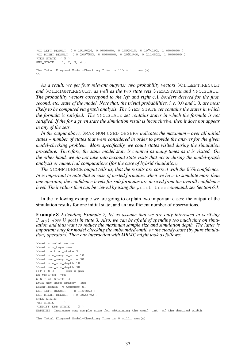```
$CI_LEFT_RESULT: ( 0.1919024, 0.0000000, 0.1893418, 0.1974192, 1.0000000 )
$CI_RIGHT_RESULT: ( 0.2097583, 0.0000000, 0.2051940, 0.2114822, 1.0000000 )
$YES STATE: { 5 }
$NO_STATE: { 1, 2, 3, 4 }
The Total Elapsed Model-Checking Time is 115 milli sec(s).
\gt
```
*As a result, we get four relevant outputs: two probability vectors* \$CI LEFT RESULT *and* \$CI RIGHT RESULT*, as well as the two state sets* \$YES STATE *and* \$NO STATE*. The probability vectors correspond to the left and right* c. i. *borders derived for the first, second, etc. state of the model. Note that, the trivial probabilities, i. e.* 0.0 *and* 1.0*, are most likely to be computed via graph analysis. The* \$YES STATE *set contains the states in which the formula is satisfied. The* \$NO STATE *set contains states in which the formula is not satisfied. If the for a given state the simulation result is inconclusive, then it does not appear in any of the sets.*

*In the output above,* \$MAX NUM USED OBSERV *indicates the maximum – over all initial states – number of states that were considered in order to provide the answer for the given model-checking problem. More specifically, we count states visited during the simulation procedure. Therefore, the same model state is counted as many times as it is visited. On the other hand, we do not take into account state visits that occur during the model-graph analysis or numerical computations (for the case of hybrid simulation).*

*The* \$CONFIDENCE *output tells us, that the results are correct with the* 95% *confidence. In is important to note that in case of nested formulas, when we have to simulate more than one operator, the confidence levels for sub formulas are derived from the overall confidence level. Their values then can be viewed by using the*  $\text{print}$  tree *command, see Section* [6.1.](#page-21-1)

In the following example we are going to explain two important cases: the output of the simulation results for one initial state; and an insufficient number of observations.

<span id="page-39-0"></span>Example 8 *Extending Example [7,](#page-38-0) let us assume that we are only interested in verifying* P>0.<sup>3</sup> (¬loss U goal) *in state* 3*. Also, we can be afraid of spending too much time on simulation and thus want to reduce the maximum sample size and simulation depth. The latter is important only for model checking the unbounded-until, or the steady-state (by pure simulation) operators. Then our interaction with MRMC might look as follows:*

```
>>set simulation on
>>set sim_type one
>>set initial_state 3
>>set min_sample_size 10
>>set max_sample_size 30
>>set min_sim_depth 10
>>set max_sim_depth 30
>>P{> 0.3} [ !loss U goal]
$SIMULATED: YES
$INITIAL STATE: 3
$MAX_NUM_USED_OBSERV: 308
$CONFIDENCE: 9.500000e-01
$CI_LEFT_RESULT: ( 0.1154063 )
$CI_RIGHT_RESULT: ( 0.3023792 )
$YES_STATE: { }
$NO_STATE: { }
$INDIFF_ERR_STATE: { 3 }
WARNING: Increase max_sample_size for obtaining the conf. int. of the desired width.
```
The Total Elapsed Model-Checking Time is 0 milli sec(s).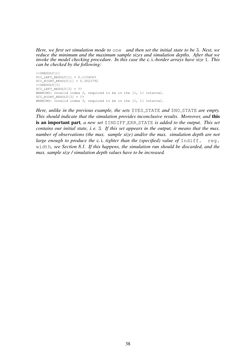*Here, we first set simulation mode to* one *and then set the initial state to be* 3*. Next, we reduce the minimum and the maximum sample sizes and simulation depths. After that we invoke the model checking procedure. In this case the* c. i.*-border arrays have size* 1*. This can be checked by the following:*

```
>>$RESULT[1]
$CI_LEFT_RESULT[1] = 0.1154063
$CI_RIGHT_RESULT[1] = 0.3023792
>>$RESULT[3]
$CI_LEFT_RESULT[3] = ??
WARNING: Invalid index 3, required to be in the [1, 1] interval.
$CI_RIGHT_RESULT[3] = ??
WARNING: Invalid index 3, required to be in the [1, 1] interval.
```
*Here, unlike in the previous example, the sets* \$YES STATE *and* \$NO STATE *are empty. This should indicate that the simulation provides inconclusive results. Moreover, and* this is an important part*, a new set* \$INDIFF ERR STATE *is added to the output. This set contains our initial state, i. e.* 3*. If this set appears in the output, it means that the max. number of observations (the max. sample size) and/or the max. simulation depth are not large enough to produce the* c.*i. tighter than the (specified) value of* Indiff. reg. width*, see Section [8.1.](#page-36-0) If this happens, the simulation run should be discarded, and the max. sample size / simulation depth values have to be increased.*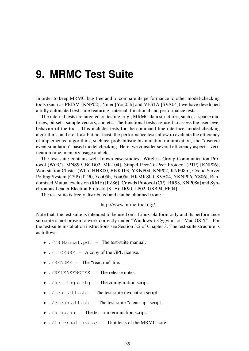## <span id="page-41-0"></span>**9. MRMC Test Suite**

In order to keep MRMC bug free and to compare its performance to other model-checking tools (such as PRISM [\[KNP02\]](#page-47-5), Ymer [\[You05b\]](#page-49-0) and VESTA [\[SVA04\]](#page-48-7)) we have developed a fully automated test suite featuring: internal, functional and performance tests.

The internal tests are targeted on testing, e. g., MRMC data structures, such as: sparse matrices, bit sets, sample vectors, and etc. The functional tests are used to assess the user-level behavior of the tool. This includes tests for the command-line interface, model-checking algorithms, and etc. Last but not least, the performance tests allow to evaluate the efficiency of implemented algorithms, such as: probabilistic bisimulation minimization, and "discrete event simulation" based model checking. Here, we consider several efficiency aspects: verification time, memory usage and etc.

The test suite contains well-known case studies: Wireless Group Communication Protocol (WGC) [\[MNS99,](#page-48-8) [BCD02,](#page-44-7) [MKL04\]](#page-48-9), Simpel Peer-To-Peer Protocol (PTP) [\[KNP06\]](#page-47-7), Workstation Cluster (WC) [\[HHK00,](#page-46-7) [BKKT03,](#page-45-9) [YKNP04,](#page-49-7) [KNP02,](#page-47-5) [KNP08b\]](#page-47-6), Cyclic Server Polling System (CSP) [\[IT90,](#page-46-8) [You05b,](#page-49-0) [You05a,](#page-49-8) [HKMKS00,](#page-46-0) [SVA04,](#page-48-7) [YKNP06,](#page-49-9) [YS06\]](#page-49-5), Randomized Mutual exclusion (RME) [\[PZ86\]](#page-48-10), Crowds Protocol (CP) [\[RR98,](#page-48-11) [KNP08a\]](#page-47-8) and Synchronous Leader Election Protocol (SLE) [\[IR90,](#page-46-9) [LP02,](#page-47-9) [GSB94,](#page-46-10) [FP04\]](#page-46-11).

The test suite is freely distributed and can be obtained from:

#### <http://www.mrmc-tool.org/>

Note that, the test suite is intended to be used on a Linux platform only and its performance sub suite is not proven to work correctly under "Windows + Cygwin" or "Mac OS X". For the test-suite installation instructions see Section [3.2](#page-13-0) of Chapter [3.](#page-11-0) The test-suite structure is as follows:

- ./TS Manual.pdf The test-suite manual.
- ./LICENSE A copy of the GPL license.
- $\cdot$  / README The "read me" file.
- ./RELEASENOTES The release notes.
- ./settings.cfg The configuration script.
- ./test all.sh The test-suite invocation script.
- ./clean all.sh The test-suite "clean-up" script.
- ./stop.sh The test-run termination script.
- $\bullet$  ./internal\_tests/ Unit tests of the MRMC core.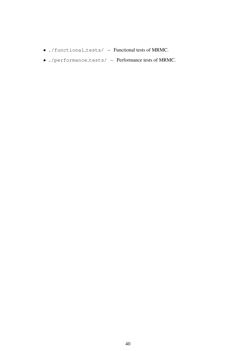- ./functional tests/ Functional tests of MRMC.
- $\bullet$  ./performance\_tests/ Performance tests of MRMC.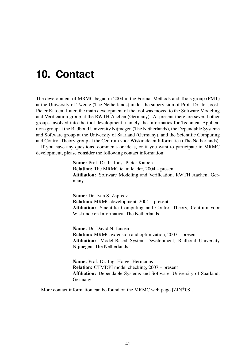## <span id="page-43-0"></span>**10. Contact**

The development of MRMC began in 2004 in the Formal Methods and Tools group (FMT) at the University of Twente (The Netherlands) under the supervision of Prof. Dr. Ir. Joost-Pieter Katoen. Later, the main development of the tool was moved to the Software Modeling and Verification group at the RWTH Aachen (Germany). At present there are several other groups involved into the tool development, namely the Informatics for Technical Applications group at the Radboud University Nijmegen (The Netherlands), the Dependable Systems and Software group at the University of Saarland (Germany), and the Scientific Computing and Control Theory group at the Centrum voor Wiskunde en Informatica (The Netherlands).

If you have any questions, comments or ideas, or if you want to participate in MRMC development, please consider the following contact information:

> Name: [Prof. Dr. Ir. Joost-Pieter Katoen](http://www-i2.informatik.rwth-aachen.de/~katoen/) Relation: The MRMC team leader, 2004 – present Affiliation: Software Modeling and Verification, RWTH Aachen, Germany

> Name: [Dr. Ivan S. Zapreev](http://db.cwi.nl/personen/publiek/zoek_show.php4?persnr=2198) Relation: MRMC development, 2004 – present Affiliation: Scientific Computing and Control Theory, Centrum voor Wiskunde en Informatica, The Netherlands

> Name: [Dr. David N. Jansen](http://www.cs.ru.nl/D.Jansen/) Relation: MRMC extension and optimization, 2007 – present Affiliation: Model-Based System Development, Radboud University Nijmegen, The Netherlands

> Name: [Prof. Dr.-Ing. Holger Hermanns](http://depend.cs.uni-sb.de/index.php?hermanns) Relation: CTMDPI model checking, 2007 – present Affiliation: Dependable Systems and Software, University of Saarland, Germany

More contact information can be found on the MRMC web-page  $[ZJN^+08]$  $[ZJN^+08]$ .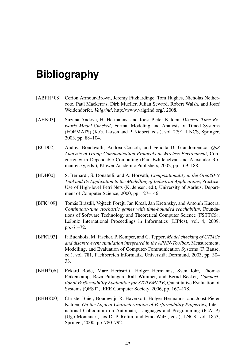## **Bibliography**

- <span id="page-44-6"></span>[ABFH<sup>+</sup>08] Cerion Armour-Brown, Jeremy Fitzhardinge, Tom Hughes, Nicholas Nethercote, Paul Mackerras, Dirk Mueller, Julian Seward, Robert Walsh, and Josef Weidendorfer, *Valgrind*, [http://www.valgrind.org/,](http://www.valgrind.org/) 2008.
- <span id="page-44-2"></span>[AHK03] Suzana Andova, H. Hermanns, and Joost-Pieter Katoen, *Discrete-Time Rewards Model-Checked*, Formal Modeling and Analysis of Timed Systems (FORMATS) (K.G. Larsen and P. Niebert, eds.), vol. 2791, LNCS, Springer, 2003, pp. 88–104.
- <span id="page-44-7"></span>[BCD02] Andrea Bondavalli, Andrea Coccoli, and Felicita Di Giandomenico, *QoS Analysis of Group Communication Protocols in Wireless Environment*, Concurrency in Dependable Computing (Paul Ezhilchelvan and Alexander Romanovsky, eds.), Kluwer Academic Publishers, 2002, pp. 169–188.
- <span id="page-44-0"></span>[BDH00] S. Bernardi, S. Donatelli, and A. Horvath, ´ *Compositionality in the GreatSPN Tool and Its Application to the Modelling of Industrial Applications*, Practical Use of High-level Petri Nets (K. Jensen, ed.), University of Aarhus, Department of Computer Science, 2000, pp. 127–146.
- <span id="page-44-5"></span> $[BFK^+09]$  Tomás Brázdil, Voitech Forejt, Jan Krcal, Jan Kretínský, and Antonín Kucera, *Continuous-time stochastic games with time-bounded reachability*, Foundations of Software Technology and Theoretical Computer Science (FSTTCS), Leibniz International Proceedings in Informatics (LIPIcs), vol. 4, 2009, pp. 61–72.
- <span id="page-44-1"></span>[BFKT03] P. Buchholz, M. Fischer, P. Kemper, and C. Tepper, *Model checking of CTMCs and discrete event simulation integrated in the APNN-Toolbox*, Measurement, Modelling, and Evaluation of Computer-Communication Systems (F. Bause, ed.), vol. 781, Fachbereich Informatik, Universität Dortmund, 2003, pp. 30– 33.
- <span id="page-44-4"></span>[BHH<sup>+</sup>06] Eckard Bode, Marc Herbstritt, Holger Hermanns, Sven Johr, Thomas Peikenkamp, Reza Pulungan, Ralf Wimmer, and Bernd Becker, *Compositional Performability Evaluation for STATEMATE*, Quantitative Evaluation of Systems (QEST), IEEE Computer Society, 2006, pp. 167–178.
- <span id="page-44-3"></span>[BHHK00] Christel Baier, Boudewijn R. Haverkort, Holger Hermanns, and Joost-Pieter Katoen, *On the Logical Characterisation of Performability Properties*, International Colloquium on Automata, Languages and Programming (ICALP) (Ugo Montanari, Jos D. P. Rolim, and Emo Welzl, eds.), LNCS, vol. 1853, Springer, 2000, pp. 780–792.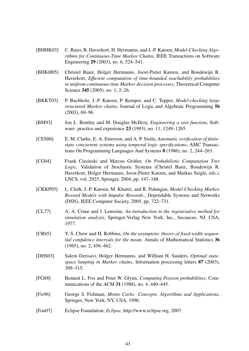- <span id="page-45-1"></span>[BHHK03] C. Baier, B. Haverkort, H. Hermanns, and J.-P. Katoen, *Model-Checking Algorithms for Continuous-Time Markov Chains*, IEEE Transactions on Software Engineering 29 (2003), no. 6, 524–541.
- <span id="page-45-3"></span>[BHKH05] Christel Baier, Holger Hermanns, Joost-Pieter Katoen, and Boudewijn R. Haverkort, *Efficient computation of time-bounded reachability probabilities in uniform continuous-time Markov decision processes*, Theoretical Computer Science 345 (2005), no. 1, 2–26.
- <span id="page-45-9"></span>[BKKT03] P. Buchholz, J.-P. Katoen, P. Kemper, and C. Tepper, *Model-checking large structured Markov chains*, Journal of Logic and Algebraic Programming 56 (2003), 69–96.
- <span id="page-45-12"></span>[BM93] Jon L. Bentley and M. Douglas McIlroy, *Engineering a sort function*, Software: practice and experience 23 (1993), no. 11, 1249–1265.
- <span id="page-45-0"></span>[CES86] E. M. Clarke, E. A. Emerson, and A. P. Sistla, *Automatic verification of finitestate concurrent systems using temporal logic specifications*, AMC Transactions On Programming Languages And Systems 8 (1986), no. 2, 244–263.
- <span id="page-45-4"></span>[CG04] Frank Ciesinski and Marcus Größer, On Probabilistic Computation Tree *Logic*, Validation of Stochastic Systems (Christel Baier, Boudewijn R. Haverkort, Holger Hermanns, Joost-Pieter Katoen, and Markus Siegle, eds.), LNCS, vol. 2925, Springer, 2004, pp. 147–188.
- <span id="page-45-2"></span>[CKKP05] L. Cloth, J.-P. Katoen, M. Khattri, and R. Pulungan, *Model-Checking Markov Reward Models with Impulse Rewards.*, Dependable Systems and Networks (DSN), IEEE Computer Society, 2005, pp. 722–731.
- <span id="page-45-10"></span>[CL77] A. A. Crane and J. Lemoine, *An introduction to the regenerative method for simulation analysis*, Springer-Verlag New York, Inc., Secaucus, NJ, USA, 1977.
- <span id="page-45-8"></span>[CR65] Y. S. Chow and H. Robbins, *On the asymptotic theory of fixed-width sequential confidence intervals for the mean*, Annals of Mathematical Statistics 36 (1965), no. 2, 456–462.
- <span id="page-45-11"></span>[DHS03] Salem Derisavi, Holger Hermanns, and William H. Sanders, *Optimal statespace lumping in Markov chains*, Information processing letters 87 (2003), 309–315.
- <span id="page-45-6"></span>[FG88] Bennett L. Fox and Peter W. Glynn, *Computing Poisson probabilities*, Communications of the ACM 31 (1988), no. 4, 440–445.
- <span id="page-45-7"></span>[Fis96] George S. Fishman, *Monte Carlo: Concepts, Algorithms and Applications*, Springer, New York, NY, USA, 1996.
- <span id="page-45-5"></span>[Fou07] Eclipse Foundation, *Eclipse*, [http://www.eclipse.org,](http://www.eclipse.org) 2007.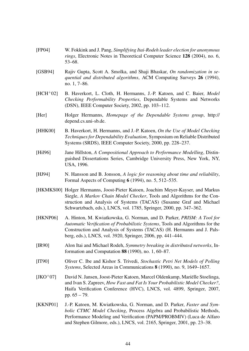- <span id="page-46-11"></span>[FP04] W. Fokkink and J. Pang, *Simplifying Itai-Rodeh leader election for anonymous rings*, Electronic Notes in Theoretical Computer Science 128 (2004), no. 6, 53–68.
- <span id="page-46-10"></span>[GSB94] Rajiv Gupta, Scott A. Smolka, and Shaji Bhaskar, *On randomization in sequential and distributed algorithms*, ACM Computing Surveys 26 (1994), no. 1, 7–86.
- <span id="page-46-4"></span>[HCH<sup>+</sup>02] B. Haverkort, L. Cloth, H. Hermanns, J.-P. Katoen, and C. Baier, *Model Checking Performability Properties*, Dependable Systems and Networks (DSN), IEEE Computer Society, 2002, pp. 103–112.
- <span id="page-46-12"></span>[Her] Holger Hermanns, *Homepage of the Dependable Systems group*, [http://](http://depend.cs.uni-sb.de) [depend.cs.uni-sb.de.](http://depend.cs.uni-sb.de)
- <span id="page-46-7"></span>[HHK00] B. Haverkort, H. Hermanns, and J.-P. Katoen, *On the Use of Model Checking Techniques for Dependability Evaluation*, Symposium on Reliable Distributed Systems (SRDS), IEEE Computer Society, 2000, pp. 228–237.
- <span id="page-46-6"></span>[Hil96] Jane Hillston, *A Compositional Approach to Performance Modelling*, Distinguished Dissertations Series, Cambridge University Press, New York, NY, USA, 1996.
- <span id="page-46-2"></span>[HJ94] N. Hansson and B. Jonsson, *A logic for reasoning about time and reliability*, Formal Aspects of Computing 6 (1994), no. 5, 512–535.
- <span id="page-46-0"></span>[HKMKS00] Holger Hermanns, Joost-Pieter Katoen, Joachim Meyer-Kayser, and Markus Siegle, *A Markov Chain Model Checker*, Tools and Algorithms for the Construction and Analysis of Systems (TACAS) (Susanne Graf and Michael Schwartzbach, eds.), LNCS, vol. 1785, Springer, 2000, pp. 347–362.
- <span id="page-46-1"></span>[HKNP06] A. Hinton, M. Kwiatkowska, G. Norman, and D. Parker, *PRISM: A Tool for Automatic Verification of Probabilistic Systems*, Tools and Algorithms for the Construction and Analysis of Systems (TACAS) (H. Hermanns and J. Palsberg, eds.), LNCS, vol. 3920, Springer, 2006, pp. 441–444.
- <span id="page-46-9"></span>[IR90] Alon Itai and Michael Rodeh, *Symmetry breaking in distributed networks*, Information and Computation 88 (1990), no. 1, 60–87.
- <span id="page-46-8"></span>[IT90] Oliver C. Ibe and Kishor S. Trivedi, *Stochastic Petri Net Models of Polling Systems*, Selected Areas in Communications 8 (1990), no. 9, 1649–1657.
- <span id="page-46-3"></span> $[JKO^+07]$  David N. Jansen, Joost-Pieter Katoen, Marcel Oldenkamp, Mariëlle Stoelinga, and Ivan S. Zapreev, *How Fast and Fat Is Your Probabilistic Model Checker?*, Haifa Verification Conference (HVC), LNCS, vol. 4899, Springer, 2007, pp. 65 – 79.
- <span id="page-46-5"></span>[KKNP01] J.-P. Katoen, M. Kwiatkowska, G. Norman, and D. Parker, *Faster and Symbolic CTMC Model Checking*, Process Algebra and Probabilistic Methods, Performance Modeling and Verification (PAPM/PROBMIV) (Luca de Alfaro and Stephen Gilmore, eds.), LNCS, vol. 2165, Springer, 2001, pp. 23–38.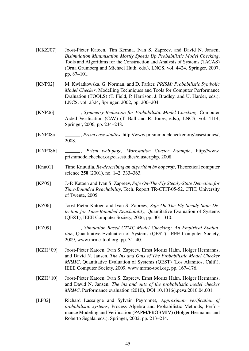<span id="page-47-11"></span><span id="page-47-10"></span><span id="page-47-9"></span><span id="page-47-8"></span><span id="page-47-7"></span><span id="page-47-6"></span><span id="page-47-5"></span><span id="page-47-3"></span><span id="page-47-2"></span><span id="page-47-1"></span><span id="page-47-0"></span>*Bisimulation Minimisation Mostly Speeds Up Probabilistic Model Checking*, Tools and Algorithms for the Construction and Analysis of Systems (TACAS) (Orna Grumberg and Michael Huth, eds.), LNCS, vol. 4424, Springer, 2007, pp. 87–101. [KNP02] M. Kwiatkowska, G. Norman, and D. Parker, *PRISM: Probabilistic Symbolic Model Checker*, Modelling Techniques and Tools for Computer Performance Evaluation (TOOLS) (T. Field, P. Harrison, J. Bradley, and U. Harder, eds.), LNCS, vol. 2324, Springer, 2002, pp. 200–204. [KNP06] , *Symmetry Reduction for Probabilistic Model Checking*, Computer Aided Verification (CAV) (T. Ball and R. Jones, eds.), LNCS, vol. 4114, Springer, 2006, pp. 234–248. [KNP08a] , *Prism case studies*, [http://www.prismmodelchecker.org/casestudies/,](http://www.prismmodelchecker.org/casestudies/) 2008. [KNP08b] , *Prism web-page, Workstation Cluster Example*, [http://www.](http://www.prismmodelchecker.org/casestudies/cluster.php) [prismmodelchecker.org/casestudies/cluster.php,](http://www.prismmodelchecker.org/casestudies/cluster.php) 2008. [Knu01] Timo Knuutila, *Re-describing an algorithm by hopcroft*, Theoretical computer science 250 (2001), no. 1–2, 333–363. [KZ05] J.-P. Katoen and Ivan S. Zapreev, *Safe On-The-Fly Steady-State Detection for Time-Bounded Reachability*, Tech. Report TR-CTIT-05-52, CTIT, University of Twente, 2005. [KZ06] Joost-Pieter Katoen and Ivan S. Zapreev, *Safe On-The-Fly Steady-State Detection for Time-Bounded Reachability*, Quantitative Evaluation of Systems (QEST), IEEE Computer Society, 2006, pp. 301–310. [KZ09] \_\_\_\_\_\_\_\_\_, *Simulation-Based CTMC Model Checking: An Empirical Evaluation*, Quantitative Evaluation of Systems (QEST), IEEE Computer Society, 2009, [www.mrmc-tool.org,](www.mrmc-tool.org) pp. 31–40. [KZH<sup>+</sup>09] Joost-Pieter Katoen, Ivan S. Zapreev, Ernst Moritz Hahn, Holger Hermanns, and David N. Jansen, *The Ins and Outs of The Probabilistic Model Checker MRMC*, Quantitative Evaluation of Systems (QEST) (Los Alamitos, Calif.), IEEE Computer Society, 2009, [www.mrmc-tool.org,](www.mrmc-tool.org) pp. 167–176. [KZH<sup>+</sup>10] Joost-Pieter Katoen, Ivan S. Zapreev, Ernst Moritz Hahn, Holger Hermanns, and David N. Jansen, *The ins and outs of the probabilistic model checker MRMC*, Performance evaluation (2010), DOI:10.1016/j.peva.2010.04.001. [LP02] Richard Lassaigne and Sylvain Peyronnet, *Approximate verification of probabilistic systems*, Process Algebra and Probabilistic Methods, Performance Modeling and Verification (PAPM/PROBMIV) (Holger Hermanns and Roberto Segala, eds.), Springer, 2002, pp. 213–214.

<span id="page-47-4"></span>[KKZJ07] Joost-Pieter Katoen, Tim Kemna, Ivan S. Zapreev, and David N. Jansen,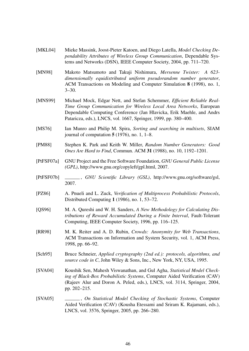- <span id="page-48-9"></span>[MKL04] Mieke Massink, Joost-Pieter Katoen, and Diego Latella, *Model Checking Dependability Attributes of Wireless Group Communication*, Dependable Systems and Networks (DSN), IEEE Computer Society, 2004, pp. 711–720.
- <span id="page-48-2"></span>[MN98] Makoto Matsumoto and Takuji Nishimura, *Mersenne Twister: A 623 dimensionally equidistributed uniform pseudorandom number generator*, ACM Transactions on Modeling and Computer Simulation 8 (1998), no. 1, 3–30.
- <span id="page-48-8"></span>[MNS99] Michael Mock, Edgar Nett, and Stefan Schemmer, *Efficient Reliable Real-Time Group Communication for Wireless Local Area Networks*, European Dependable Computing Conference (Jan Hlavicka, Erik Maehle, and Andrs Pataricza, eds.), LNCS, vol. 1667, Springer, 1999, pp. 380–400.
- <span id="page-48-12"></span>[MS76] Ian Munro and Philip M. Spira, *Sorting and searching in multisets*, SIAM journal of computation  $5(1976)$ , no. 1, 1–8.
- <span id="page-48-0"></span>[PM88] Stephen K. Park and Keith W. Miller, *Random Number Generators: Good Ones Are Hard to Find*, Commun. ACM 31 (1988), no. 10, 1192–1201.
- <span id="page-48-6"></span>[PtFSF07a] GNU Project and the Free Software Foundation, *GNU General Public License (GPL)*, [http://www.gnu.org/copyleft/gpl.html,](http://www.gnu.org/copyleft/gpl.html) 2007.
- <span id="page-48-3"></span>[PtFSF07b] , *GNU Scientific Library (GSL)*, [http://www.gnu.org/software/gsl,](http://www.gnu.org/software/gsl) 2007.
- <span id="page-48-10"></span>[PZ86] A. Pnueli and L. Zuck, *Verification of Multiprocess Probabilistic Protocols*, Distributed Computing 1 (1986), no. 1, 53–72.
- <span id="page-48-5"></span>[QS96] M. A. Qureshi and W. H. Sanders, *A New Methodology for Calculating Distributions of Reward Accumulated During a Finite Interval*, Fault-Tolerant Computing, IEEE Computer Society, 1996, pp. 116–125.
- <span id="page-48-11"></span>[RR98] M. K. Reiter and A. D. Rubin, *Crowds: Anonymity for Web Transactions*, ACM Transactions on Information and System Security, vol. 1, ACM Press, 1998, pp. 66–92.
- <span id="page-48-1"></span>[Sch95] Bruce Schneier, *Applied cryptography (2nd ed.): protocols, algorithms, and source code in C*, John Wiley & Sons, Inc., New York, NY, USA, 1995.
- <span id="page-48-7"></span>[SVA04] Koushik Sen, Mahesh Viswanathan, and Gul Agha, *Statistical Model Checking of Black-Box Probabilistic Systems*, Computer Aided Verification (CAV) (Rajeev Alur and Doron A. Peled, eds.), LNCS, vol. 3114, Springer, 2004, pp. 202–215.
- <span id="page-48-4"></span>[SVA05] , *On Statistical Model Checking of Stochastic Systems*, Computer Aided Verification (CAV) (Kousha Etessami and Sriram K. Rajamani, eds.), LNCS, vol. 3576, Springer, 2005, pp. 266–280.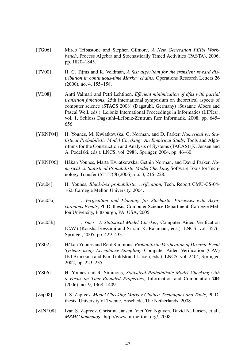- <span id="page-49-3"></span>[TG06] Mirco Tribastone and Stephen Gilmore, *A New Generation PEPA Workbench*, Process Algebra and Stochastically Timed Activities (PASTA), 2006, pp. 1820–1845.
- <span id="page-49-1"></span>[TV00] H. C. Tijms and R. Veldman, *A fast algorithm for the transient reward distribution in continuous-time Markov chains*, Operations Research Letters 26 (2000), no. 4, 155–158.
- <span id="page-49-11"></span>[VL08] Antti Valmari and Petri Lehtinen, *Efficient minimization of dfas with partial transition functions*, 25th international symposium on theoretical aspects of computer science (STACS 2008) (Dagstuhl, Germany) (Susanne Albers and Pascal Weil, eds.), Leibniz International Proceedings in Informatics (LIPIcs), vol. 1, Schloss Dagstuhl–Leibniz-Zentrum fuer Informatik, 2008, pp. 645– 656.
- <span id="page-49-7"></span>[YKNP04] H. Younes, M. Kwiatkowska, G. Norman, and D. Parker, *Numerical vs. Statistical Probabilistic Model Checking: An Empirical Study*, Tools and Algorithms for the Construction and Analysis of Systems (TACAS) (K. Jensen and A. Podelski, eds.), LNCS, vol. 2988, Springer, 2004, pp. 46–60.
- <span id="page-49-9"></span>[YKNP06] Håkan Younes, Marta Kwiatkowska, Gethin Norman, and David Parker, Nu*merical vs. Statistical Probabilistic Model Checking*, Software Tools for Technology Transfer (STTT) 8 (2006), no. 3, 216–228.
- <span id="page-49-6"></span>[You04] H. Younes, *Black-box probabilistic verification*, Tech. Report CMU-CS-04- 162, Carnegie Mellon University, 2004.
- <span id="page-49-8"></span>[You05a] , *Verification and Planning for Stochastic Processes with Asynchronous Events*, Ph.D. thesis, Computer Science Department, Carnegie Mellon University, Pittsburgh, PA, USA, 2005.
- <span id="page-49-0"></span>[You05b] , *Ymer: A Statistical Model Checker*, Computer Aided Verification (CAV) (Kousha Etessami and Sriram K. Rajamani, eds.), LNCS, vol. 3576, Springer, 2005, pp. 429–433.
- <span id="page-49-4"></span>[YS02] Håkan Younes and Reid Simmons, *Probabilistic Verification of Discrete Event Systems using Acceptance Sampling*, Computer Aided Verification (CAV) (Ed Brinksma and Kim Guldstrand Larsen, eds.), LNCS, vol. 2404, Springer, 2002, pp. 223–235.
- <span id="page-49-5"></span>[YS06] H. Younes and R. Simmons, *Statistical Probabilistic Model Checking with a Focus on Time-Bounded Properties*, Information and Computation 204 (2006), no. 9, 1368–1409.
- <span id="page-49-2"></span>[Zap08] I. S. Zapreev, *Model Checking Markov Chains: Techniques and Tools*, Ph.D. thesis, University of Twente, Enschede, The Netherlands, 2008.
- <span id="page-49-10"></span>[ZJN<sup>+</sup>08] Ivan S. Zapreev, Christina Jansen, Viet Yen Nguyen, David N. Jansen, et al., *MRMC homepage*, [http://www.mrmc-tool.org/,](http://www.mrmc-tool.org/) 2008.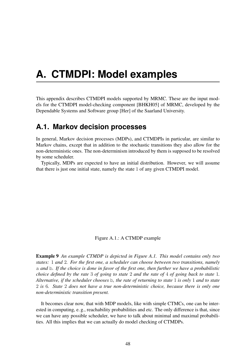## <span id="page-50-0"></span>**A. CTMDPI: Model examples**

This appendix describes CTMDPI models supported by MRMC. These are the input models for the CTMDPI model-checking component [\[BHKH05\]](#page-45-3) of MRMC, developed by the Dependable Systems and Software group [\[Her\]](#page-46-12) of the Saarland University.

## <span id="page-50-1"></span>**A.1. Markov decision processes**

In general, Markov decision processes (MDPs), and CTMDPIs in particular, are similar to Markov chains, except that in addition to the stochastic transitions they also allow for the non-deterministic ones. The non-determinism introduced by them is supposed to be resolved by some scheduler.

Typically, MDPs are expected to have an initial distribution. However, we will assume that there is just one initial state, namely the state 1 of any given CTMDPI model.

<span id="page-50-2"></span>Figure A.1.: A CTMDP example

Example 9 *An example CTMDP is depicted in Figure [A.1.](#page-50-2) This model contains only two states:* 1 *and* 2*. For the first one, a scheduler can choose between two transitions, namely* a *and* b*. If the choice is done in favor of the first one, then further we have a probabilistic choice defined by the rate* 3 *of going to state* 2 *and the rate of* 4 *of going back to state* 1*. Alternative, if the scheduler chooses* b*, the rate of returning to state* 1 *is only* 1 *and to state* 2 *is* 6*. State* 2 *does not have a true non-deterministic choice, because there is only one non-deterministic transition present.*

It becomes clear now, that with MDP models, like with simple CTMCs, one can be interested in computing, e. g., reachability probabilities and etc. The only difference is that, since we can have any possible scheduler, we have to talk about minimal and maximal probabilities. All this implies that we can actually do model checking of CTMDPs.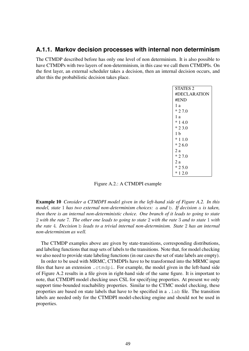#### <span id="page-51-0"></span>**A.1.1. Markov decision processes with internal non determinism**

The CTMDP described before has only one level of non determinism. It is also possible to have CTMDPs with two layers of non-determinism, in this case we call them CTMDPIs. On the first layer, an external scheduler takes a decision, then an internal decision occurs, and after this the probabilistic decision takes place.

| <b>STATES 2</b> |
|-----------------|
| #DECLARATION    |
| #END            |
| 1 a             |
| $*27.0$         |
| 1а              |
| $*14.0$         |
| $* 23.0$        |
| 1 <sub>b</sub>  |
| $*11.0$         |
| $*26.0$         |
| 2 a             |
| $*27.0$         |
| 2 a             |
| $*25.0$         |
| $*12.0$         |
|                 |

<span id="page-51-1"></span>Figure A.2.: A CTMDPI example

Example 10 *Consider a CTMDPI model given in the left-hand side of Figure [A.2.](#page-51-1) In this model, state* 1 *has two external non-determinism choices:* a *and* b*. If decision* a *is taken, then there is an internal non-deterministic choice. One branch of it leads to going to state* 2 *with the rate* 7*. The other one leads to going to state* 2 *with the rate* 3 *and to state* 1 *with the rate* 4*. Decision* b *leads to a trivial internal non-determinism. State* 2 *has an internal non-determinism as well.*

The CTMDP examples above are given by state-transitions, corresponding distributions, and labeling functions that map sets of labels to the transitions. Note that, for model checking we also need to provide state labeling functions (in our cases the set of state labels are empty).

In order to be used with MRMC, CTMDPIs have to be transformed into the MRMC input files that have an extension .ctmdpi. For example, the model given in the left-hand side of Figure [A.2](#page-51-1) results in a file given in right-hand side of the same figure. It is important to note, that CTMDPI model checking uses CSL for specifying properties. At present we only support time-bounded reachability properties. Similar to the CTMC model checking, these properties are based on state labels that have to be specified in a .lab file. The transition labels are needed only for the CTMDPI model-checking engine and should not be used in properties.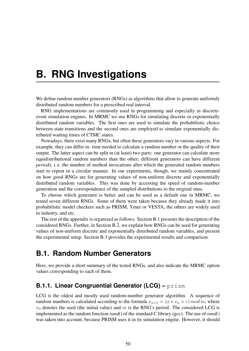## <span id="page-52-0"></span>**B. RNG Investigations**

We define random number generators (RNGs) as algorithms that allow to generate uniformly distributed random numbers for a prescribed real interval.

RNG implementations are commonly used in programming and especially in discreteevent simulation engines. In MRMC we use RNGs for simulating discrete or exponentially distributed random variables. The first ones are used to simulate the probabilistic choice between state-transitions and the second ones are employed to simulate exponentially distributed waiting times of CTMC states.

Nowadays, there exist many RNGs, but often these generators vary in various aspects. For example, they can differ in: time needed to calculate a random number or the quality of their output. The latter aspect can be split in (at least) two parts: one generator can calculate more equidistributional random numbers than the other; different generators can have different *periods*, i. e. the number of method invocations after which the generated random numbers start to repeat in a circular manner. In our experiments, though, we mainly concentrated on how good RNGs are for generating values of non-uniform discrete and exponentially distributed random variables. This was done by accessing the speed of random-number generation and the correspondence of the sampled distributions to the original ones.

To choose which generator is better and can be used as a default one in MRMC, we tested seven different RNGs. Some of them were taken because they already made it into probabilistic model checkers such as PRISM, Ymer or VESTA, the others are widely used in industry, and etc.

The rest of the appendix is organized as follows: Section [B.1](#page-52-1) presents the description of the considered RNGs. Further, in Section [B.2,](#page-54-0) we explain how RNGs can be used for generating values of non-uniform discrete and exponentially distributed random variables, and present the experimental setup. Section [B.3](#page-56-0) provides the experimental results and comparison.

### <span id="page-52-1"></span>**B.1. Random Number Generators**

Here, we provide a short summary of the tested RNGs, and also indicate the MRMC option values corresponding to each of them.

### <span id="page-52-2"></span>**B.1.1. Linear Congruential Generator (LCG) –** prism

LCG is the oldest and mostly used random-number generator algorithm. A sequence of random numbers is calculated according to the formula  $x_{n+1} = (a * x_n + c) \mod m$ , where  $x_0$  denotes the seed (the initial value) and m is the RNG's period. The considered LCG is implemented as the random function *rand()* of the standard C library (gcc). The use of *rand()* was taken into account, because PRISM uses it in its simulation engine. However, it should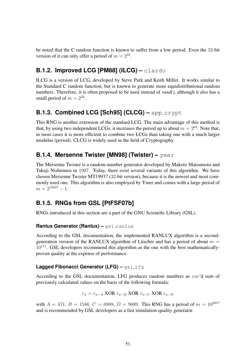be noted that the C random function is known to suffer from a low period. Even the 32-bit version of it can only offer a period of  $m = 2^{32}$ .

### <span id="page-53-0"></span>**B.1.2. Improved LCG [\[PM88\]](#page-48-0) (ILCG) –** ciardo

ILCG is a version of LCG, developed by Steve Park and Keith Miller. It works similar to the Standard C random function, but is known to generate more equidistributional random numbers. Therefore, it is often proposed to be used instead of *rand()*, although it also has a small period of  $m = 2^{32}$ .

### <span id="page-53-1"></span>**B.1.3. Combined LCG [\[Sch95\]](#page-48-1) (CLCG) –** app crypt

This RNG is another extension of the standard LCG. The main advantage of this method is that, by using two independent LCGs, it increases the period up to about  $m = 2^{64}$ . Note that, in most cases it is more efficient to combine two LCGs than taking one with a much larger modulus (period). CLCG is widely used in the field of Cryptography.

#### <span id="page-53-2"></span>**B.1.4. Mersenne Twister [\[MN98\]](#page-48-2) (Twister) –** ymer

The Mersenne Twister is a random-number generator developed by Makoto Matsumoto and Takuji Nishimura in 1997. Today, there exist several variants of this algorithm. We have chosen Mersenne Twister MT19937 (32-bit version), because it is the newest and most commonly used one. This algorithm is also employed by Ymer and comes with a large period of  $m = 2^{19937} - 1.$ 

### <span id="page-53-3"></span>**B.1.5. RNGs from GSL [\[PtFSF07b\]](#page-48-3)**

RNGs introduced in this section are a part of the GNU Scientific Library (GSL).

#### **Ranlux Generator (Ranlux) – gsl\_ranlux**

According to the GSL documentation, the implemented RANLUX algorithm is a secondgeneration version of the RANLUX algorithm of Lüscher and has a period of about  $m =$  $10^{171}$ . GSL developers recommend this algorithm as the one with the best mathematicallyproven quality at the expense of performance.

#### **Lagged Fibonacci Generator (LFG) – gsl\_lfg**

According to the GSL documentation, LFG produces random numbers as xor'd sum of previously calculated values on the basis of the following formula:

$$
r_n = r_{n-A} \text{ XOR } r_{n-B} \text{ XOR } r_{n-C} \text{ XOR } r_{n-D}
$$

with  $A = 471$ ,  $B = 1586$ ,  $C = 6988$ ,  $D = 9689$ . This RNG has a period of  $m = 10^{2917}$ and is recommended by GSL developers as a fast simulation-quality generator.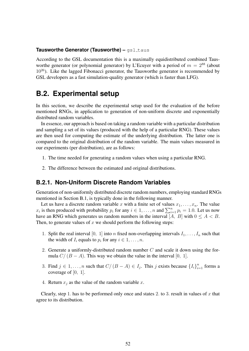#### **Tausworthe Generator (Tausworthe) – gsl\_taus**

According to the GSL documentation this is a maximally equidistributed combined Tausworthe generator (or polynomial generator) by L'Ecuyer with a period of  $m = 2^{88}$  (about  $10^{26}$ ). Like the lagged Fibonacci generator, the Tausworthe generator is recommended by GSL developers as a fast simulation-quality generator (which is faster than LFG).

## <span id="page-54-0"></span>**B.2. Experimental setup**

In this section, we describe the experimental setup used for the evaluation of the before mentioned RNGs, in application to generation of non-uniform discrete and exponentially distributed random variables.

In essence, our approach is based on taking a random variable with a particular distribution and sampling a set of its values (produced with the help of a particular RNG). These values are then used for computing the estimate of the underlying distribution. The latter one is compared to the original distribution of the random variable. The main values measured in our experiments (per distribution), are as follows:

- 1. The time needed for generating a random values when using a particular RNG.
- 2. The difference between the estimated and original distributions.

#### <span id="page-54-1"></span>**B.2.1. Non-Uniform Discrete Random Variables**

Generation of non-uniformly distributed discrete random numbers, employing standard RNGs mentioned in Section [B.1,](#page-52-1) is typically done in the following manner.

Let us have a discrete random variable x with a finite set of values  $x_1, \ldots, x_n$ . The value  $x_i$  is then produced with probability  $p_i$  for any  $i \in 1, ..., n$  and  $\sum_{i=1}^{n} p_i = 1.0$ . Let us now have an RNG which generates us random numbers in the interval [A, B] with  $0 \le A < B$ . Then, to generate values of  $x$  we should perform the following steps:

- 1. Split the real interval [0, 1] into *n* fixed non-overlapping intervals  $I_1, \ldots, I_n$  such that the width of  $I_i$  equals to  $p_i$  for any  $i \in 1, \ldots, n$ .
- 2. Generate a uniformly-distributed random number  $C$  and scale it down using the formula  $C/(B - A)$ . This way we obtain the value in the interval [0, 1].
- 3. Find  $j \in 1, \ldots, n$  such that  $C/(B-A) \in I_j$ . This j exists because  $\{I_i\}_{i=1}^n$  forms a coverage of [0, 1].
- 4. Return  $x_i$  as the value of the random variable x.

Clearly, step 1. has to be performed only once and states 2. to 3. result in values of  $x$  that agree to its distribution.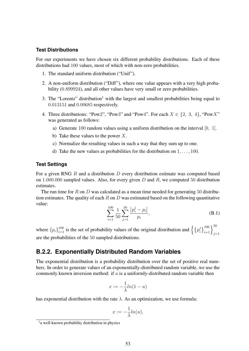#### **Test Distributions**

For our experiments we have chosen six different probability distributions. Each of these distributions had 100 values, most of which with non-zero probabilities.

- 1. The standard uniform distribution ("Unif").
- 2. A non-uniform distribution ("Diff"), where one value appears with a very high probability (0.899924), and all other values have very small or zero probabilities.
- 3. The "Lorentz" distribution<sup>[1](#page-55-1)</sup> with the largest and smallest probabilities being equal to 0.013151 and 0.00685 respectively.
- 4. Three distributions: "Pow2", "Pow3" and "Pow4". For each  $X \in \{2, 3, 4\}$ , "PowX" was generated as follows:
	- a) Generate 100 random values using a uniform distribution on the interval [0, 1].
	- b) Take these values to the power  $X$ .
	- c) Normalize the resulting values in such a way that they sum up to one.
	- d) Take the new values as probabilities for the distribution on  $1, \ldots, 100$ .

#### **Test Settings**

For a given RNG  $R$  and a distribution  $D$  every distribution estimate was computed based on 1.000.000 sampled values. Also, for every given  $D$  and  $R$ , we computed 50 distribution estimates.

The run time for R on D was calculated as a mean time needed for generating 50 distribution estimates. The quality of each R on D was estimated based on the following quantitative value:

<span id="page-55-2"></span>
$$
\sum_{i=1}^{100} \frac{1}{50} \sum_{j=1}^{50} \frac{|p_i^j - p_i|}{p_i},
$$
\n(B.1)

where  ${p_i}_{i=1}^{100}$  is the set of probability values of the original distribution and  $\left\{ {\left\{ {p_i^j} \right\}} \right\}$  $\left\{j \atop i \right\}^{100}_{i=1} \right\}^{50}_{j=1}$ are the probabilities of the 50 sampled distributions.

#### <span id="page-55-0"></span>**B.2.2. Exponentially Distributed Random Variables**

The exponential distribution is a probability distribution over the set of positive real numbers. In order to generate values of an exponentially-distributed random variable, we use the commonly known inversion method: if  $u$  is a uniformly-distributed random variable then

$$
x := -\frac{1}{\lambda} \ln(1 - u)
$$

has exponential distribution with the rate  $\lambda$ . As an optimization, we use formula:

$$
x:=-\frac{1}{\lambda}ln(u),
$$

<span id="page-55-1"></span><sup>&</sup>lt;sup>1</sup>a well-known probability distribution in physics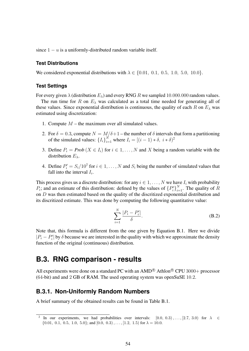since  $1 - u$  is a uniformly-distributed random variable itself.

#### **Test Distributions**

We considered exponential distributions with  $\lambda \in \{0.01, 0.1, 0.5, 1.0, 5.0, 10.0\}$ .

#### **Test Settings**

For every given  $\lambda$  (distribution  $E_{\lambda}$ ) and every RNG R we sampled 10.000.000 random values.

The run time for R on  $E_{\lambda}$  was calculated as a total time needed for generating all of these values. Since exponential distribution is continuous, the quality of each R on  $E_{\lambda}$  was estimated using discretization:

- 1. Compute  $M$  the maximum over all simulated values.
- 2. For  $\delta = 0.3$ , compute  $N = M/\delta + 1$  the number of  $\delta$  intervals that form a partitioning of the simulated values:  $\{I_i\}_{i=1}^N$  where  $I_i = [(i-1) * \delta, i * \delta]^2$  $I_i = [(i-1) * \delta, i * \delta]^2$
- 3. Define  $P_i = Prob(X \in I_i)$  for  $i \in 1, ..., N$  and X being a random variable with the distribution  $E_{\lambda}$ .
- 4. Define  $P'_i = S_i/10^7$  for  $i \in 1, ..., N$  and  $S_i$  being the number of simulated values that fall into the interval  $I_i$ .

This process gives us a discrete distribution: for any  $i \in 1, \ldots, N$  we have  $I_i$  with probability  $P_i$ ; and an estimate of this distribution: defined by the values of  ${P'_i}_{i=1}^N$ . The quality of R on D was then estimated based on the quality of the discritized exponential distribution and its discritized estimate. This was done by computing the following quantitative value:

$$
\sum_{i=1}^{N} \frac{|P_i - P_i'|}{\delta}.
$$
 (B.2)

Note that, this formula is different from the one given by Equation [B.1.](#page-55-2) Here we divide  $|P_i - P'_i|$  by  $\delta$  because we are interested in the quality with which we approximate the density function of the original (continuous) distribution.

### <span id="page-56-0"></span>**B.3. RNG comparison - results**

All experiments were done on a standard PC with an  $\text{AMD}^{\textcircledR}$  Athlon<sup>®</sup> CPU 3000+ processor (64-bit) and and 2 GB of RAM. The used operating system was openSuSE 10.2.

#### <span id="page-56-1"></span>**B.3.1. Non-Uniformly Random Numbers**

A brief summary of the obtained results can be found in Table [B.1.](#page-57-0)

<span id="page-56-2"></span><sup>&</sup>lt;sup>2</sup> In our experiments, we had probabilities over intervals:  $[0.0, 0.3), ..., [2.7, 3.0)$  for  $\lambda \in$  $\{0.01, 0.1, 0.5, 1.0, 5.0\}$ ; and  $[0.0, 0.3), \ldots, [1.2, 1.5)$  for  $\lambda = 10.0$ .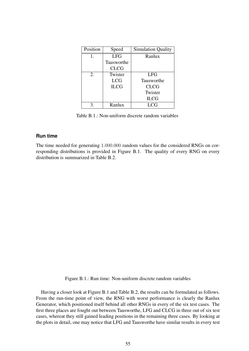| Position | Speed       | <b>Simulation Quality</b> |  |
|----------|-------------|---------------------------|--|
|          | <b>LFG</b>  | Ranlux                    |  |
|          | Tausworthe  |                           |  |
|          | <b>CLCG</b> |                           |  |
| 2.       | Twister     | <b>LFG</b>                |  |
|          | <b>LCG</b>  | Tausworthe                |  |
|          | <b>ILCG</b> | <b>CLCG</b>               |  |
|          |             | Twister                   |  |
|          |             | <b>ILCG</b>               |  |
| 3        | Ranlux      | <b>LCG</b>                |  |

<span id="page-57-0"></span>Table B.1.: Non-uniform discrete random variables

#### **Run time**

The time needed for generating 1.000.000 random values for the considered RNGs on corresponding distributions is provided in Figure [B.1.](#page-57-1) The quality of every RNG on every distribution is summarized in Table [B.2.](#page-58-0)

<span id="page-57-1"></span>Figure B.1.: Run time: Non-uniform discrete random variables

Having a closer look at Figure [B.1](#page-57-1) and Table [B.2,](#page-58-0) the results can be formulated as follows. From the run-time point of view, the RNG with worst performance is clearly the Ranlux Generator, which positioned itself behind all other RNGs in every of the six test cases. The first three places are fought out between Tausworthe, LFG and CLCG in three out of six test cases, whereat they still gained leading positions in the remaining three cases. By looking at the plots in detail, one may notice that LFG and Tausworthe have similar results in every test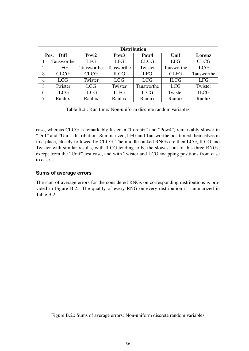|                | <b>Distribution</b> |                  |                  |                  |             |             |  |  |  |
|----------------|---------------------|------------------|------------------|------------------|-------------|-------------|--|--|--|
|                | Pos.<br><b>Diff</b> | Pow <sub>2</sub> | Pow <sub>3</sub> | Pow <sub>4</sub> | Unif        | Lorenz      |  |  |  |
|                | Tausworthe          | <b>LFG</b>       | <b>LFG</b>       | <b>CLCG</b>      | <b>LFG</b>  | <b>CLCG</b> |  |  |  |
| $\overline{2}$ | <b>LFG</b>          | Tausworthe       | Tausworthe       | Twister          | Tausworthe  | <b>LCG</b>  |  |  |  |
| 3              | <b>CLCG</b>         | <b>CLCG</b>      | <b>ILCG</b>      | <b>LFG</b>       | <b>CLFG</b> | Tausworthe  |  |  |  |
| 4              | <b>LCG</b>          | Twister          | <b>LCG</b>       | <b>LCG</b>       | <b>ILCG</b> | <b>LFG</b>  |  |  |  |
| $\overline{5}$ | Twister             | <b>LCG</b>       | Twister          | Tausworthe       | <b>LCG</b>  | Twister     |  |  |  |
| 6              | <b>ILCG</b>         | <b>ILCG</b>      | <b>ILFG</b>      | <b>ILCG</b>      | Twister     | <b>ILCG</b> |  |  |  |
| 7              | Ranlux              | Ranlux           | Ranlux           | Ranlux           | Ranlux      | Ranlux      |  |  |  |

<span id="page-58-0"></span>Table B.2.: Run time: Non-uniform discrete random variables

case, whereas CLCG is remarkably faster in "Lorentz" and "Pow4", remarkably slower in "Diff" and "Unif" distribution. Summarized, LFG and Tausworthe positioned themselves in first place, closely followed by CLCG. The middle-ranked RNGs are then LCG, ILCG and Twister with similar results, with ILCG tending to be the slowest out of this three RNGs, except from the "Unif" test case, and with Twister and LCG swapping positions from case to case.

#### **Sums of average errors**

The sum of average errors for the considered RNGs on corresponding distributions is provided in Figure [B.2.](#page-58-1) The quality of every RNG on every distribution is summarized in Table [B.2.](#page-58-0)

<span id="page-58-1"></span>Figure B.2.: Sums of average errors: Non-uniform discrete random variables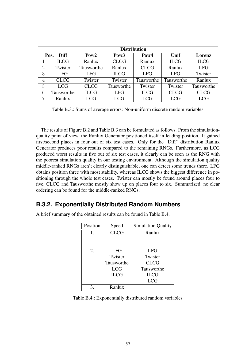|                | <b>Distribution</b> |                  |                  |             |             |             |  |  |  |
|----------------|---------------------|------------------|------------------|-------------|-------------|-------------|--|--|--|
|                | Pos.<br><b>Diff</b> | Pow <sub>2</sub> | Pow <sub>3</sub> | Pow4        | Unif        | Lorenz      |  |  |  |
| 1              | <b>ILCG</b>         | Ranlux           | <b>CLCG</b>      | Ranlux      | <b>ILCG</b> | <b>ILCG</b> |  |  |  |
| $\overline{2}$ | Twister             | Tausworthe       | Ranlux           | <b>CLCG</b> | Ranlux      | <b>LFG</b>  |  |  |  |
| 3              | <b>LFG</b>          | <b>LFG</b>       | <b>ILCG</b>      | <b>LFG</b>  | <b>LFG</b>  | Twister     |  |  |  |
| $\overline{4}$ | <b>CLCG</b>         | Twister          | Twister          | Tausworthe  | Tausworthe  | Ranlux      |  |  |  |
| 5              | <b>LCG</b>          | <b>CLCG</b>      | Tausworthe       | Twister     | Twister     | Tausworthe  |  |  |  |
| 6              | Tausworthe          | <b>ILCG</b>      | <b>LFG</b>       | <b>ILCG</b> | <b>CLCG</b> | <b>CLCG</b> |  |  |  |
| 7              | Ranlux              | <b>LCG</b>       | <b>LCG</b>       | <b>LCG</b>  | <b>LCG</b>  | <b>LCG</b>  |  |  |  |

<span id="page-59-1"></span>Table B.3.: Sums of average errors: Non-uniform discrete random variables

The results of Figure [B.2](#page-58-1) and Table [B.3](#page-59-1) can be formulated as follows. From the simulationquality point of view, the Ranlux Generator positioned itself in leading position. It gained first/second places in four out of six test cases. Only for the "Diff" distribution Ranlux Generator produces poor results compared to the remaining RNGs. Furthermore, as LCG produced worst results in five out of six test cases, it clearly can be seen as the RNG with the poorest simulation quality in our testing environment. Although the simulation quality middle-ranked RNGs aren't clearly distinguishable, one can detect some trends there. LFG obtains position three with most stability, whereas ILCG shows the biggest difference in positioning through the whole test cases. Twister can mostly be found around places four to five, CLCG and Tausworthe mostly show up on places four to six. Summarized, no clear ordering can be found for the middle-ranked RNGs.

#### <span id="page-59-0"></span>**B.3.2. Exponentially Distributed Random Numbers**

A brief summary of the obtained results can be found in Table [B.4.](#page-59-2)

| Position | Speed       | <b>Simulation Quality</b> |
|----------|-------------|---------------------------|
| 1.       | <b>CLCG</b> | Ranlux                    |
|          |             |                           |
|          |             |                           |
| 2.       | <b>LFG</b>  | <b>LFG</b>                |
|          | Twister     | Twister                   |
|          | Tausworthe  | <b>CLCG</b>               |
|          | <b>LCG</b>  | Tausworthe                |
|          | <b>ILCG</b> | <b>ILCG</b>               |
|          |             | <b>LCG</b>                |
| 3.       | Ranlux      |                           |

<span id="page-59-2"></span>Table B.4.: Exponentially distributed random variables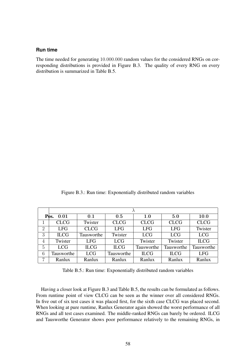#### **Run time**

The time needed for generating 10.000.000 random values for the considered RNGs on corresponding distributions is provided in Figure [B.3.](#page-60-0) The quality of every RNG on every distribution is summarized in Table [B.5.](#page-60-1)

<span id="page-60-0"></span>Figure B.3.: Run time: Exponentially distributed random variables

|                | Pos.<br>0.01 | 0.1         | 0.5         | 1.0         | 5.0         | 10.0        |
|----------------|--------------|-------------|-------------|-------------|-------------|-------------|
| 1              | <b>CLCG</b>  | Twister     | <b>CLCG</b> | <b>CLCG</b> | <b>CLCG</b> | <b>CLCG</b> |
| $\overline{2}$ | <b>LFG</b>   | <b>CLCG</b> | <b>LFG</b>  | <b>LFG</b>  | <b>LFG</b>  | Twister     |
| 3              | <b>ILCG</b>  | Tausworthe  | Twister     | <b>LCG</b>  | <b>LCG</b>  | <b>LCG</b>  |
| 4              | Twister      | <b>LFG</b>  | <b>LCG</b>  | Twister     | Twister     | <b>ILCG</b> |
| 5              | <b>LCG</b>   | <b>ILCG</b> | <b>ILCG</b> | Tausworthe  | Tausworthe  | Tausworthe  |
| 6              | Tausworthe   | <b>LCG</b>  | Tausworthe  | <b>ILCG</b> | <b>ILCG</b> | <b>LFG</b>  |
| 7              | Ranlux       | Ranlux      | Ranlux      | Ranlux      | Ranlux      | Ranlux      |

<span id="page-60-1"></span>Table B.5.: Run time: Exponentially distributed random variables

Having a closer look at Figure [B.3](#page-60-0) and Table [B.5,](#page-60-1) the results can be formulated as follows. From runtime point of view CLCG can be seen as the winner over all considered RNGs. In five out of six test cases it was placed first, for the sixth case CLCG was placed second. When looking at pure runtime, Ranlux Generator again showed the worst performance of all RNGs and all test cases examined. The middle-ranked RNGs can barely be ordered. ILCG and Tausworthe Generator shows poor performance relatively to the remaining RNGs, in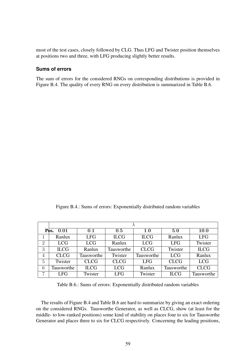most of the test cases, closely followed by CLG. Thus LFG and Twister position themselves at positions two and three, with LFG producing slightly better results.

#### **Sums of errors**

The sum of errors for the considered RNGs on corresponding distributions is provided in Figure [B.4.](#page-61-0) The quality of every RNG on every distribution is summarized in Table [B.6.](#page-61-1)

<span id="page-61-0"></span>Figure B.4.: Sums of errors: Exponentially distributed random variables

|                | Pos.<br>0.01 | 0.1         | 0.5         | 1.0         | 5.0         | <b>10.0</b> |
|----------------|--------------|-------------|-------------|-------------|-------------|-------------|
|                | Ranlux       | <b>LFG</b>  | <b>ILCG</b> | <b>ILCG</b> | Ranlux      | <b>LFG</b>  |
| $\overline{2}$ | <b>LCG</b>   | <b>LCG</b>  | Ranlux      | <b>LCG</b>  | <b>LFG</b>  | Twister     |
| 3              | <b>ILCG</b>  | Ranlux      | Tausworthe  | <b>CLCG</b> | Twister     | <b>ILCG</b> |
| $\overline{4}$ | <b>CLCG</b>  | Tausworthe  | Twister     | Tausworthe  | <b>LCG</b>  | Ranlux      |
| 5              | Twister      | <b>CLCG</b> | <b>CLCG</b> | <b>LFG</b>  | <b>CLCG</b> | <b>LCG</b>  |
| 6              | Tausworthe   | <b>ILCG</b> | <b>LCG</b>  | Ranlux      | Tausworthe  | <b>CLCG</b> |
| $\overline{ }$ | <b>LFG</b>   | Twister     | <b>LFG</b>  | Twister     | IL CG       | Tausworthe  |

<span id="page-61-1"></span>Table B.6.: Sums of errors: Exponentially distributed random variables

The results of Figure [B.4](#page-61-0) and Table [B.6](#page-61-1) are hard to summarize by giving an exact ordering on the considered RNGs. Tausworthe Generator, as well as CLCG, show (at least for the middle- to low-ranked positions) some kind of stability on places four to six for Tausworthe Generator and places three to six for CLCG respectively. Concerning the leading positions,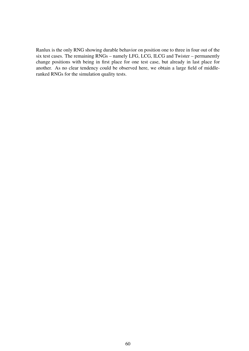Ranlux is the only RNG showing durable behavior on position one to three in four out of the six test cases. The remaining RNGs – namely LFG, LCG, ILCG and Twister – permanently change positions with being in first place for one test case, but already in last place for another. As no clear tendency could be observed here, we obtain a large field of middleranked RNGs for the simulation quality tests.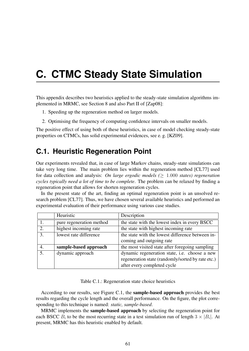## <span id="page-63-0"></span>**C. CTMC Steady State Simulation**

This appendix describes two heuristics applied to the steady-state simulation algorithms implemented in MRMC, see Section [8](#page-35-0) and also Part II of [\[Zap08\]](#page-49-2):

- 1. Speeding up the regeneration method on larger models.
- 2. Optimising the frequency of computing confidence intervals on smaller models.

The positive effect of using both of these heuristics, in case of model checking steady-state properties on CTMCs, has solid experimental evidences, see e. g. [\[KZ09\]](#page-47-1).

## <span id="page-63-1"></span>**C.1. Heuristic Regeneration Point**

Our experiments revealed that, in case of large Markov chains, steady-state simulations can take very long time. The main problem lies within the regeneration method [\[CL77\]](#page-45-10) used for data collection and analysis: *On large ergodic models (*≥ 1.000 *states) regeneration cycles typically need a lot of time to be complete*. The problem can be relaxed by finding a regeneration point that allows for shorten regeneration cycles.

In the present state of the art, finding an optimal regeneration point is an unsolved research problem [\[CL77\]](#page-45-10). Thus, we have chosen several available heuristics and performed an experimental evaluation of their performance using various case studies.

|    | Heuristic                | Description                                       |
|----|--------------------------|---------------------------------------------------|
|    | pure regeneration method | the state with the lowest index in every BSCC     |
| 2. | highest incoming rate    | the state with highest incoming rate              |
| 3. | lowest rate difference   | the state with the lowest difference between in-  |
|    |                          | coming and outgoing rate                          |
|    | sample-based approach    | the most visited state after foregoing sampling   |
| 5. | dynamic approach         | dynamic regeneration state, i.e. choose a new     |
|    |                          | regeneration state (randomly/sorted by rate etc.) |
|    |                          | after every completed cycle                       |

Table C.1.: Regeneration state choice heuristics

According to our results, see Figure [C.1,](#page-64-1) the sample-based approach provides the best results regarding the cycle length and the overall performance. On the figure, the plot corresponding to this technique is named: *static, sample-based*.

MRMC implements the sample-based approach by selecting the regeneration point for each BSCC  $B_i$  to be the most recurring state in a test simulation run of length  $3 \times |B_i|$ . At present, MRMC has this heuristic enabled by default.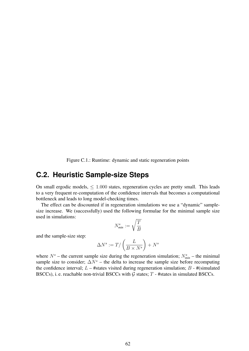<span id="page-64-1"></span>Figure C.1.: Runtime: dynamic and static regeneration points

## <span id="page-64-0"></span>**C.2. Heuristic Sample-size Steps**

On small ergodic models,  $\leq 1.000$  states, regeneration cycles are pretty small. This leads to a very frequent re-computation of the confidence intervals that becomes a computational bottleneck and leads to long model-checking times.

The effect can be discounted if in regeneration simulations we use a "dynamic" samplesize increase. We (successfully) used the following formulae for the minimal sample size used in simulations:

$$
N_{\min}^s:=\sqrt{\frac{T}{B}}
$$

and the sample-size step:

$$
\Delta N^s := T / \left( \frac{L}{B \times N^s} \right) + N^s
$$

where  $N^s$  – the current sample size during the regeneration simulation;  $N^s_{min}$  – the minimal sample size to consider;  $\Delta N^s$  – the delta to increase the sample size before recomputing the confidence interval;  $L - \#$ states visited during regeneration simulation;  $B - \#$ (simulated BSCCs), i. e. reachable non-trivial BSCCs with  $G$  states;  $T$  - #states in simulated BSCCs.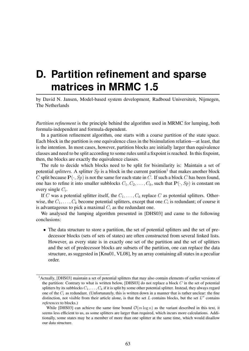## <span id="page-65-0"></span>**D. Partition refinement and sparse matrices in MRMC 1.5**

by David N. Jansen, Model-based system development, Radboud Universiteit, Nijmegen, The Netherlands

*Partition refinement* is the principle behind the algorithm used in MRMC for lumping, both formula-independent and formula-dependent.

In a partition refinement algorithm, one starts with a coarse partition of the state space. Each block in the partition is one equivalence class in the bisimulation relation—at least, that is the intention. In most cases, however, partition blocks are initially larger than equivalence classes and need to be split according to some rules until a fixpoint is reached. In this fixpoint, then, the blocks are exactly the equivalence classes.

The rule to decide which blocks need to be split for bisimilarity is: Maintain a set of potential *splitters*. A splitter  $Sp$  is a block in the current partition<sup>[1](#page-65-1)</sup> that makes another block C split because  $P(\cdot, Sp)$  is not the same for each state in C. If such a block C has been found, one has to refine it into smaller subblocks  $C_1, C_2, \ldots, C_k$ , such that  $P(\cdot, Sp)$  is constant on every single  $C_i$ .

If C was a potential splitter itself, the  $C_1, \ldots, C_k$  replace C as potential splitters. Otherwise, the  $C_1, \ldots, C_k$  become potential splitters, except that one  $C_i$  is redundant; of course it is advantageous to pick a maximal  $C_i$  as the redundant one.

We analysed the lumping algorithm presented in [\[DHS03\]](#page-45-11) and came to the following conclusions:

• The data structure to store a partition, the set of potential splitters and the set of predecessor blocks (sets of sets of states) are often constructed from several linked lists. However, as every state is in exactly one set of the partition and the set of splitters and the set of predecessor blocks are subsets of the partition, one can replace the data structure, as suggested in [\[Knu01,](#page-47-10) [VL08\]](#page-49-11), by an array containing all states in a peculiar order.

<span id="page-65-1"></span><sup>1</sup>Actually, [\[DHS03\]](#page-45-11) maintain a set of potential splitters that may also contain elements of earlier versions of the partition: Contrary to what is written below, [\[DHS03\]](#page-45-11) do not replace a block  $C$  in the set of potential splitters by its subblocks  $C_1, \ldots, C_k$  if it is split by some other potential splitter. Instead, they always regard one of the  $C_i$  as redundant. (Unfortunately, this is written down in a manner that is rather unclear: the fine distinction, not visible from their article alone, is that the set  $L$  contains blocks, but the set  $L''$  contains *references* to blocks.)

While [\[DHS03\]](#page-45-11) can achieve the same time bound  $\mathcal{O}(m \log n)$  as the variant described in this text, it seems less efficient to us, as some splitters are larger than required, which incurs more calculations. Additionally, some states may be a member of more than one splitter at the same time, which would disallow our data structure.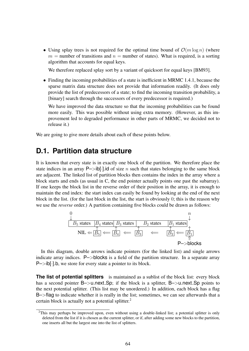• Using splay trees is not required for the optimal time bound of  $\mathcal{O}(m \log n)$  (where  $m =$  number of transitions and  $n =$  number of states). What is required, is a sorting algorithm that accounts for equal keys.

We therefore replaced splay sort by a variant of quicksort for equal keys [\[BM93\]](#page-45-12).

• Finding the incoming probabilities of a state is inefficient in MRMC 1.4.1, because the sparse matrix data structure does not provide that information readily. (It does only provide the list of predecessors of a state; to find the incoming transition probability, a [binary] search through the successors of every predecessor is required.)

We have improved the data structure so that the incoming probabilities can be found more easily. This was possible without using extra memory. (However, as this improvement led to degraded performance in other parts of MRMC, we decided not to release it.)

We are going to give more details about each of these points below.

### <span id="page-66-0"></span>**D.1. Partition data structure**

It is known that every state is in exactly one block of the partition. We therefore place the state indices in an array  $P \rightarrow b$ [.].id of size *n* such that states belonging to the same block are adjacent. The linked list of partition blocks then contains the index in the array where a block starts and ends (as usual in C, the end pointer actually points one past the subarray). If one keeps the block list in the reverse order of their position in the array, it is enough to maintain the end index: the start index can easily be found by looking at the end of the next block in the list. (for the last block in the list, the start is obviously 0; this is the reason why we use the *reverse* order.) A partition containing five blocks could be drawn as follows:

$$
\begin{array}{ccc}\n0 & & n \\
\downarrow & & \\
\hline\nB_5 \text{ states} & B_4 \text{ states} & B_3 \text{ states} & B_2 \text{ states} & B_1 \text{ states} \\
\uparrow & & \uparrow & \\
\hline\n\text{NIL} \leftarrow \boxed{B_5} \leftarrow \boxed{B_4} & \leftarrow & \boxed{B_3} & \leftarrow & \boxed{B_2} \leftarrow \boxed{B_1} \\
\uparrow & & \uparrow & \\
\uparrow & & \uparrow & \\
\hline\n\text{P->blocks}\n\end{array}
$$

In this diagram, double arrows indicate pointers (for the linked list) and single arrows indicate array indices. P->blocks is a field of the partition structure. In a separate array  $P \rightarrow ib[\cdot]$ .b, we store for every state a pointer to its block.

**The list of potential splitters** is maintained as a sublist of the block list: every block has a second pointer B->u.next\_Sp; if the block is a splitter, B->u.next\_Sp points to the next potential splitter. (This list may be unordered.) In addition, each block has a flag B->flag to indicate whether it is really in the list; sometimes, we can see afterwards that a certain block is actually not a potential splitter.[2](#page-66-1)

<span id="page-66-1"></span><sup>&</sup>lt;sup>2</sup>This may perhaps be improved upon, even without using a double-linked list; a potential splitter is only deleted from the list if it is chosen as the current splitter, or if, after adding some new blocks to the partition, one inserts all but the largest one into the list of splitters.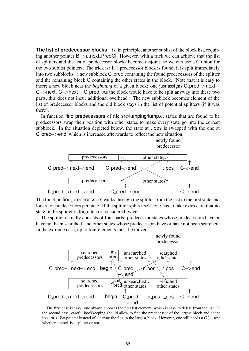**The list of predecessor blocks** is, in principle, another sublist of the block list, requiring another pointer B—>u.next\_PredCl. However, with a trick we can achieve that the list of splitters and the list of predecessor blocks become disjoint, so we can use a C union for the two sublist pointers. The trick is: If a predecessor block is found, it is split immediately into two subblocks: a new subblock C<sub>-</sub>pred containing the found predecessors of the splitter and the remaining block C containing the other states in the block. (Note that it is easy to insert a new block near the *beginning* of a given block: one just assigns  $C$ -pred–>next =  $C\rightarrow$ next,  $C\rightarrow$ next =  $C\rightarrow$ pred. As the block would have to be split anyway into these two parts, this does not incur additional overhead.) The new subblock becomes element of the list of predecessor blocks and the old block stays in the list of potential splitters (if it was there).

In function find predecessors of file src/lumping/lump.c, states that are found to be predecessors swap their position with other states to make every state go into the correct subblock. In the situation depicted below, the state at **t** pos is swapped with the one at C pred–>end, which is increased afterwards to reflect the new situation.



The function find predecessors walks through the splitter from the last to the first state and looks for predecessors per state. If the splitter splits itself, one has to take extra care that no state in the splitter is forgotten or considered twice.

The splitter actually consists of four parts: predecessor states whose predecessors have or have not been searched, and other states whose predecessors have or have not been searched. In the extreme case, up to four elements must be moved:



The first case is easy: one always chooses the first list element, which is easy to delete from the list. In the second case, careful bookkeeping should allow to find the predecessor of the largest block and adapt its u.next. Sp pointer instead of clearing the flag in the largest block. However, one still needs a  $\mathcal{O}(1)$  test whether a block is a splitter or not.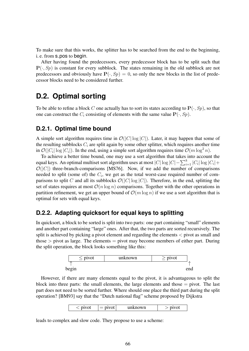To make sure that this works, the splitter has to be searched from the end to the beginning, i. e. from **s** pos to begin.

After having found the predecessors, every predecessor block has to be split such that  $P(\cdot, Sp)$  is constant for every subblock. The states remaining in the old subblock are not predecessors and obviously have  $P(\cdot, Sp) = 0$ , so only the new blocks in the list of predecessor blocks need to be considered further.

## <span id="page-68-0"></span>**D.2. Optimal sorting**

To be able to refine a block C one actually has to sort its states according to  $\mathbf{P}(\cdot, Sp)$ , so that one can construct the  $C_i$  consisting of elements with the same value  $P(\cdot, Sp)$ .

#### <span id="page-68-1"></span>**D.2.1. Optimal time bound**

A simple sort algorithm requires time in  $\mathcal{O}(|C| \log |C|)$ . Later, it may happen that some of the resulting subblocks  $C_i$  are split again by some other splitter, which requires another time in  $\mathcal{O}(|C_i| \log |C_i|)$ . In the end, using a simple sort algorithm requires time  $\mathcal{O}(m \log^2 n)$ .

To achieve a better time bound, one may use a sort algorithm that takes into account the equal keys. An optimal multiset sort algorithm uses at most  $|C| \log |C| - \sum_{i=1}^k |C_i| \log |C_i| +$  $\mathcal{O}(|C|)$  three-branch-comparisons [\[MS76\]](#page-48-12). Now, if we add the number of comparisons needed to split (some of) the  $C_i$ , we get as the total worst-case required number of comparisons to split C and all its subblocks  $\mathcal{O}(|C| \log |C|)$ . Therefore, in the end, splitting the set of states requires at most  $\mathcal{O}(n \log n)$  comparisons. Together with the other operations in partition refinement, we get an upper bound of  $\mathcal{O}(m \log n)$  if we use a sort algorithm that is optimal for sets with equal keys.

#### <span id="page-68-2"></span>**D.2.2. Adapting quicksort for equal keys to splitting**

In quicksort, a block to be sorted is split into two parts: one part containing "small" elements and another part containing "large" ones. After that, the two parts are sorted recursively. The split is achieved by picking a pivot element and regarding the elements  $\lt$  pivot as small and those  $>$  pivot as large. The elements  $=$  pivot may become members of either part. During the split operation, the block looks something like this:



However, if there are many elements equal to the pivot, it is advantageous to split the block into three parts: the small elements, the large elements and those  $=$  pivot. The last part does not need to be sorted further. Where should one place the third part during the split operation? [\[BM93\]](#page-45-12) say that the "Dutch national flag" scheme proposed by Dijkstra

|  |  |  | nown | $-1$ |
|--|--|--|------|------|
|--|--|--|------|------|

leads to complex and slow code. They propose to use a scheme: